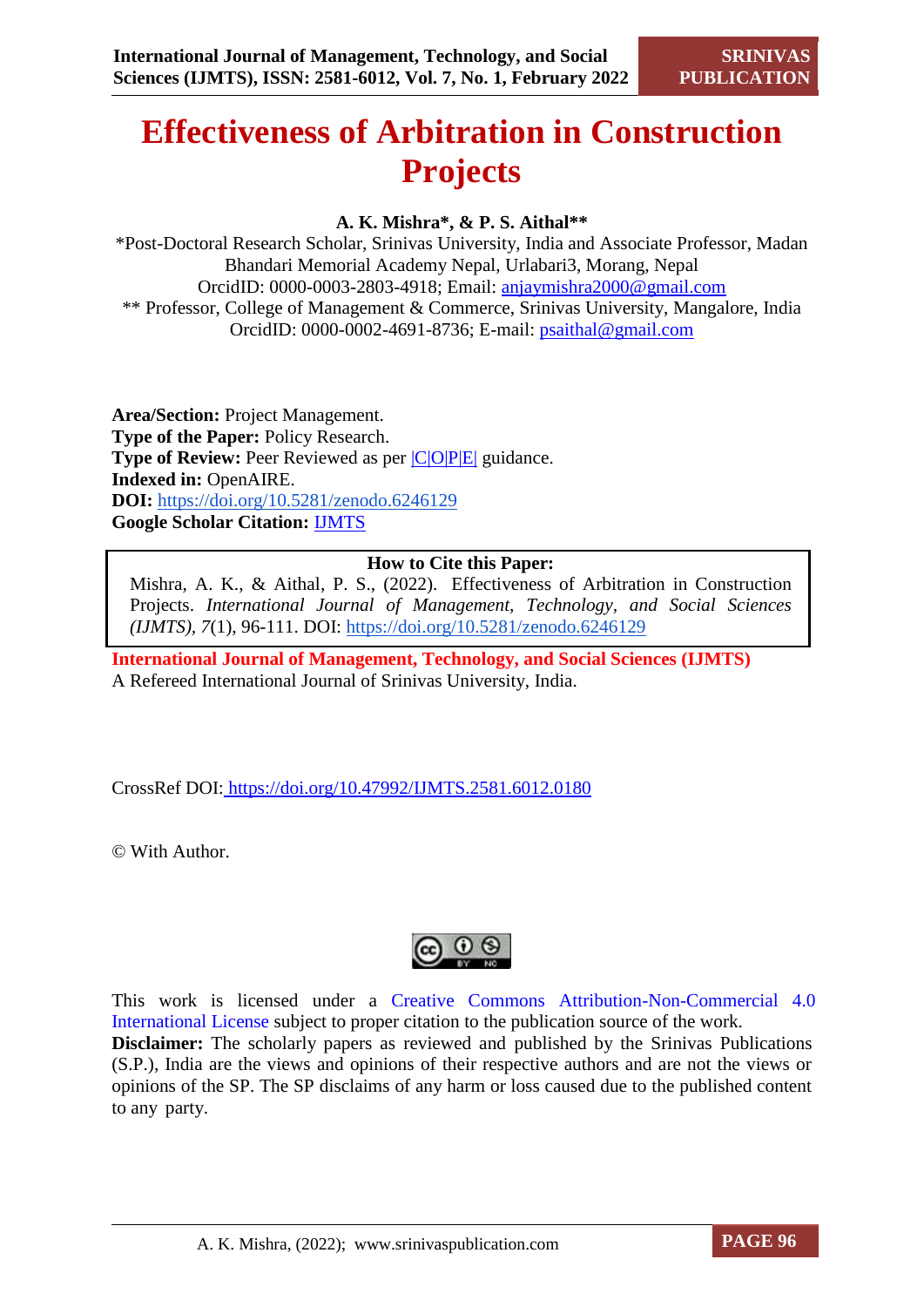# **Effectiveness of Arbitration in Construction Projects**

## **A. K. Mishra\*, & P. S. Aithal\*\***

\*Post-Doctoral Research Scholar, Srinivas University, India and Associate Professor, Madan Bhandari Memorial Academy Nepal, Urlabari3, Morang, Nepal OrcidID: 0000-0003-2803-4918; Email: [anjaymishra2000@gmail.com](mailto:anjaymishra2000@gmail.com) \*\* Professor, College of Management & Commerce, Srinivas University, Mangalore, India OrcidID: 0000-0002-4691-8736; E-mail: [psaithal@gmail.com](mailto:psaithal@gmail.com)

**Area/Section:** Project Management. **Type of the Paper:** Policy Research. **Type of Review:** Peer Reviewed as per  $|C|O||P|E|$  guidance. **Indexed in:** OpenAIRE. **DOI:** <https://doi.org/10.5281/zenodo.6246129> **Google Scholar Citation:** [IJMTS](https://scholar.google.com/citations?user=bphF0BQAAAAJ)

## **How to Cite this Paper:**

Mishra, A. K., & Aithal, P. S., (2022). Effectiveness of Arbitration in Construction Projects. *International Journal of Management, Technology, and Social Sciences (IJMTS), 7*(1), 96-111. DOI:<https://doi.org/10.5281/zenodo.6246129>

**International Journal of Management, Technology, and Social Sciences (IJMTS)** A Refereed International Journal of Srinivas University, India.

CrossRef DOI: <https://doi.org/10.47992/IJMTS.2581.6012.0180>

© With Author.



This work is licensed under a Creative Commons Attribution-Non-Commercial 4.0 International License subject to proper citation to the publication source of the work. **Disclaimer:** The scholarly papers as reviewed and published by the Srinivas Publications (S.P.), India are the views and opinions of their respective authors and are not the views or opinions of the SP. The SP disclaims of any harm or loss caused due to the published content to any party.

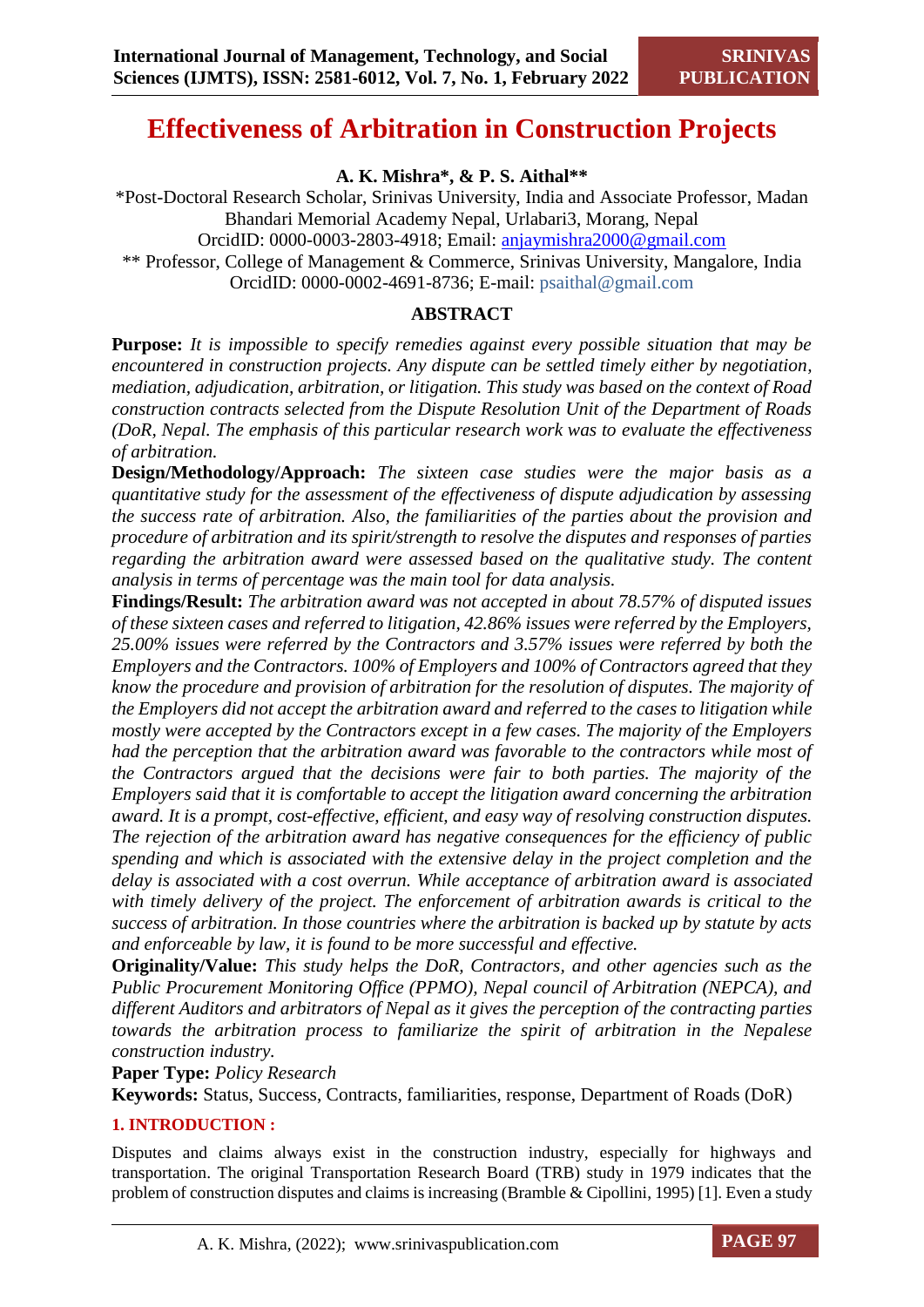## **Effectiveness of Arbitration in Construction Projects**

**A. K. Mishra\*, & P. S. Aithal\*\***

\*Post-Doctoral Research Scholar, Srinivas University, India and Associate Professor, Madan Bhandari Memorial Academy Nepal, Urlabari3, Morang, Nepal

OrcidID: 0000-0003-2803-4918; Email: [anjaymishra2000@gmail.com](mailto:anjaymishra2000@gmail.com)

\*\* Professor, College of Management & Commerce, Srinivas University, Mangalore, India OrcidID: 0000-0002-4691-8736; E-mail: psaithal@gmail.com

## **ABSTRACT**

**Purpose:** *It is impossible to specify remedies against every possible situation that may be encountered in construction projects. Any dispute can be settled timely either by negotiation, mediation, adjudication, arbitration, or litigation. This study was based on the context of Road construction contracts selected from the Dispute Resolution Unit of the Department of Roads (DoR, Nepal. The emphasis of this particular research work was to evaluate the effectiveness of arbitration.*

**Design/Methodology/Approach:** *The sixteen case studies were the major basis as a quantitative study for the assessment of the effectiveness of dispute adjudication by assessing the success rate of arbitration. Also, the familiarities of the parties about the provision and procedure of arbitration and its spirit/strength to resolve the disputes and responses of parties regarding the arbitration award were assessed based on the qualitative study. The content analysis in terms of percentage was the main tool for data analysis.*

**Findings/Result:** *The arbitration award was not accepted in about 78.57% of disputed issues of these sixteen cases and referred to litigation, 42.86% issues were referred by the Employers, 25.00% issues were referred by the Contractors and 3.57% issues were referred by both the Employers and the Contractors. 100% of Employers and 100% of Contractors agreed that they know the procedure and provision of arbitration for the resolution of disputes. The majority of the Employers did not accept the arbitration award and referred to the cases to litigation while mostly were accepted by the Contractors except in a few cases. The majority of the Employers had the perception that the arbitration award was favorable to the contractors while most of the Contractors argued that the decisions were fair to both parties. The majority of the Employers said that it is comfortable to accept the litigation award concerning the arbitration award. It is a prompt, cost-effective, efficient, and easy way of resolving construction disputes. The rejection of the arbitration award has negative consequences for the efficiency of public spending and which is associated with the extensive delay in the project completion and the delay is associated with a cost overrun. While acceptance of arbitration award is associated with timely delivery of the project. The enforcement of arbitration awards is critical to the success of arbitration. In those countries where the arbitration is backed up by statute by acts and enforceable by law, it is found to be more successful and effective.* 

**Originality/Value:** *This study helps the DoR, Contractors, and other agencies such as the Public Procurement Monitoring Office (PPMO), Nepal council of Arbitration (NEPCA), and different Auditors and arbitrators of Nepal as it gives the perception of the contracting parties towards the arbitration process to familiarize the spirit of arbitration in the Nepalese construction industry.*

**Paper Type:** *Policy Research* 

**Keywords:** Status, Success, Contracts, familiarities, response, Department of Roads (DoR)

## **1. INTRODUCTION :**

Disputes and claims always exist in the construction industry, especially for highways and transportation. The original Transportation Research Board (TRB) study in 1979 indicates that the problem of construction disputes and claims is increasing (Bramble & Cipollini, 1995) [1]. Even a study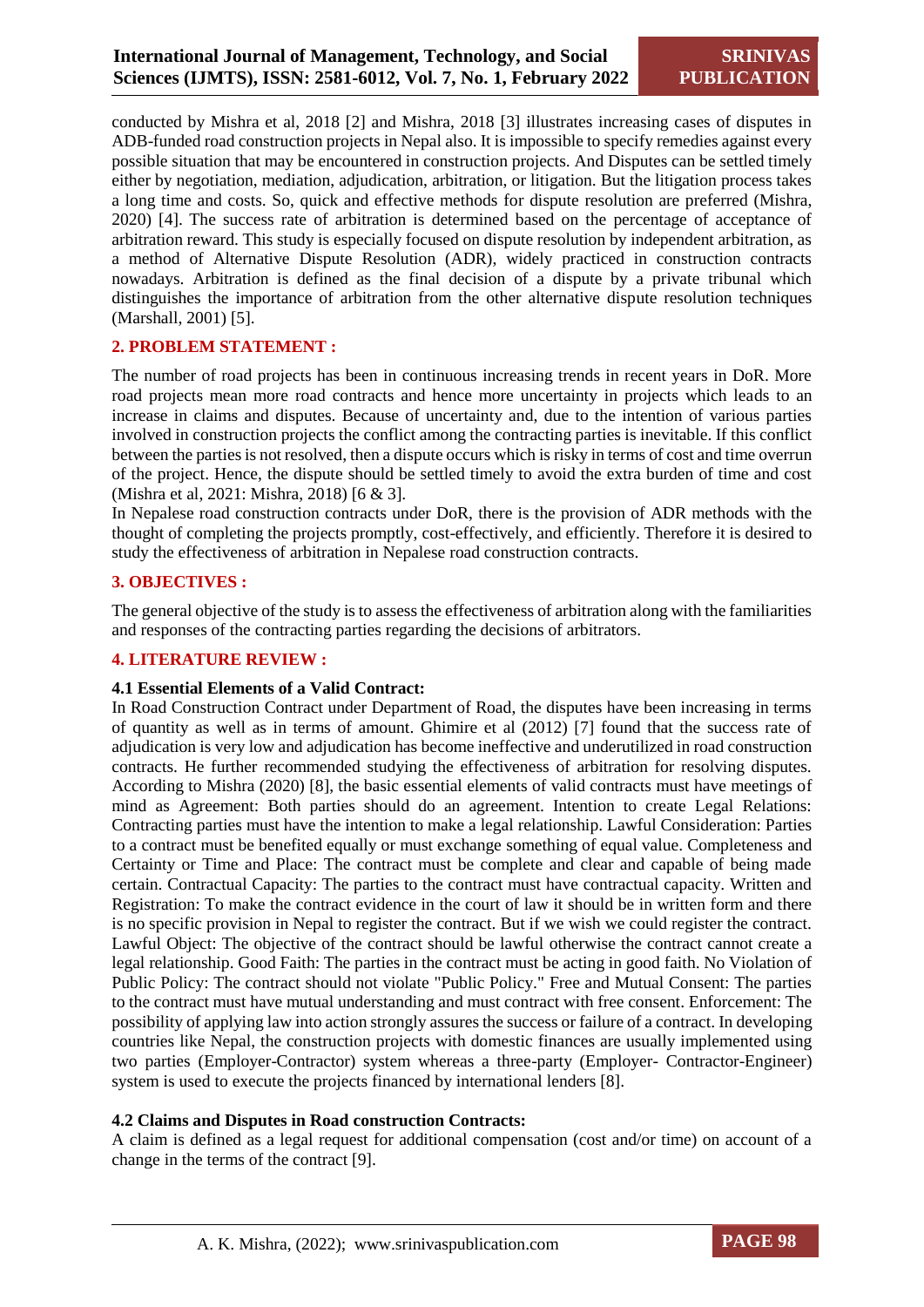conducted by Mishra et al, 2018 [2] and Mishra, 2018 [3] illustrates increasing cases of disputes in ADB-funded road construction projects in Nepal also. It is impossible to specify remedies against every possible situation that may be encountered in construction projects. And Disputes can be settled timely either by negotiation, mediation, adjudication, arbitration, or litigation. But the litigation process takes a long time and costs. So, quick and effective methods for dispute resolution are preferred (Mishra, 2020) [4]. The success rate of arbitration is determined based on the percentage of acceptance of arbitration reward. This study is especially focused on dispute resolution by independent arbitration, as a method of Alternative Dispute Resolution (ADR), widely practiced in construction contracts nowadays. Arbitration is defined as the final decision of a dispute by a private tribunal which distinguishes the importance of arbitration from the other alternative dispute resolution techniques (Marshall, 2001) [5].

## **2. PROBLEM STATEMENT :**

The number of road projects has been in continuous increasing trends in recent years in DoR. More road projects mean more road contracts and hence more uncertainty in projects which leads to an increase in claims and disputes. Because of uncertainty and, due to the intention of various parties involved in construction projects the conflict among the contracting parties is inevitable. If this conflict between the parties is not resolved, then a dispute occurs which is risky in terms of cost and time overrun of the project. Hence, the dispute should be settled timely to avoid the extra burden of time and cost (Mishra et al, 2021: Mishra, 2018) [6 & 3].

In Nepalese road construction contracts under DoR, there is the provision of ADR methods with the thought of completing the projects promptly, cost-effectively, and efficiently. Therefore it is desired to study the effectiveness of arbitration in Nepalese road construction contracts.

## **3. OBJECTIVES :**

The general objective of the study is to assess the effectiveness of arbitration along with the familiarities and responses of the contracting parties regarding the decisions of arbitrators.

## **4. LITERATURE REVIEW :**

## **4.1 Essential Elements of a Valid Contract:**

In Road Construction Contract under Department of Road, the disputes have been increasing in terms of quantity as well as in terms of amount. Ghimire et al (2012) [7] found that the success rate of adjudication is very low and adjudication has become ineffective and underutilized in road construction contracts. He further recommended studying the effectiveness of arbitration for resolving disputes. According to Mishra (2020) [8], the basic essential elements of valid contracts must have meetings of mind as Agreement: Both parties should do an agreement. Intention to create Legal Relations: Contracting parties must have the intention to make a legal relationship. Lawful Consideration: Parties to a contract must be benefited equally or must exchange something of equal value. Completeness and Certainty or Time and Place: The contract must be complete and clear and capable of being made certain. Contractual Capacity: The parties to the contract must have contractual capacity. Written and Registration: To make the contract evidence in the court of law it should be in written form and there is no specific provision in Nepal to register the contract. But if we wish we could register the contract. Lawful Object: The objective of the contract should be lawful otherwise the contract cannot create a legal relationship. Good Faith: The parties in the contract must be acting in good faith. No Violation of Public Policy: The contract should not violate "Public Policy." Free and Mutual Consent: The parties to the contract must have mutual understanding and must contract with free consent. Enforcement: The possibility of applying law into action strongly assures the success or failure of a contract. In developing countries like Nepal, the construction projects with domestic finances are usually implemented using two parties (Employer-Contractor) system whereas a three-party (Employer- Contractor-Engineer) system is used to execute the projects financed by international lenders [8].

## **4.2 Claims and Disputes in Road construction Contracts:**

A claim is defined as a legal request for additional compensation (cost and/or time) on account of a change in the terms of the contract [9].

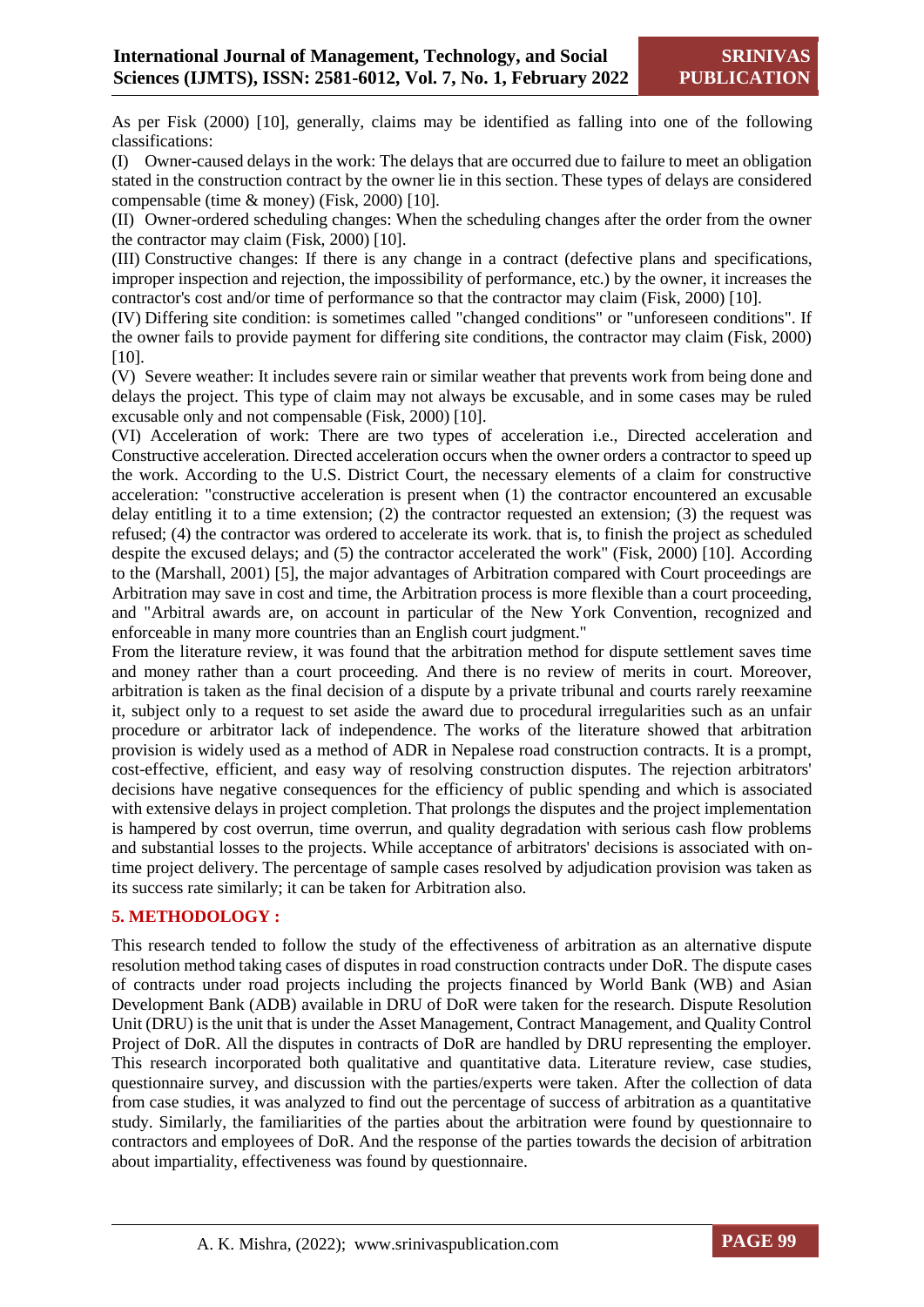As per Fisk (2000) [10], generally, claims may be identified as falling into one of the following classifications:

(I) Owner-caused delays in the work: The delays that are occurred due to failure to meet an obligation stated in the construction contract by the owner lie in this section. These types of delays are considered compensable (time & money) (Fisk, 2000) [10].

(II) Owner-ordered scheduling changes: When the scheduling changes after the order from the owner the contractor may claim (Fisk, 2000) [10].

(III) Constructive changes: If there is any change in a contract (defective plans and specifications, improper inspection and rejection, the impossibility of performance, etc.) by the owner, it increases the contractor's cost and/or time of performance so that the contractor may claim (Fisk, 2000) [10].

(IV) Differing site condition: is sometimes called "changed conditions" or "unforeseen conditions". If the owner fails to provide payment for differing site conditions, the contractor may claim (Fisk, 2000) [10].

(V) Severe weather: It includes severe rain or similar weather that prevents work from being done and delays the project. This type of claim may not always be excusable, and in some cases may be ruled excusable only and not compensable (Fisk, 2000) [10].

(VI) Acceleration of work: There are two types of acceleration i.e., Directed acceleration and Constructive acceleration. Directed acceleration occurs when the owner orders a contractor to speed up the work. According to the U.S. District Court, the necessary elements of a claim for constructive acceleration: "constructive acceleration is present when (1) the contractor encountered an excusable delay entitling it to a time extension; (2) the contractor requested an extension; (3) the request was refused; (4) the contractor was ordered to accelerate its work. that is, to finish the project as scheduled despite the excused delays; and (5) the contractor accelerated the work" (Fisk, 2000) [10]. According to the (Marshall, 2001) [5], the major advantages of Arbitration compared with Court proceedings are Arbitration may save in cost and time, the Arbitration process is more flexible than a court proceeding, and "Arbitral awards are, on account in particular of the New York Convention, recognized and enforceable in many more countries than an English court judgment."

From the literature review, it was found that the arbitration method for dispute settlement saves time and money rather than a court proceeding. And there is no review of merits in court. Moreover, arbitration is taken as the final decision of a dispute by a private tribunal and courts rarely reexamine it, subject only to a request to set aside the award due to procedural irregularities such as an unfair procedure or arbitrator lack of independence. The works of the literature showed that arbitration provision is widely used as a method of ADR in Nepalese road construction contracts. It is a prompt, cost-effective, efficient, and easy way of resolving construction disputes. The rejection arbitrators' decisions have negative consequences for the efficiency of public spending and which is associated with extensive delays in project completion. That prolongs the disputes and the project implementation is hampered by cost overrun, time overrun, and quality degradation with serious cash flow problems and substantial losses to the projects. While acceptance of arbitrators' decisions is associated with ontime project delivery. The percentage of sample cases resolved by adjudication provision was taken as its success rate similarly; it can be taken for Arbitration also.

## **5. METHODOLOGY :**

This research tended to follow the study of the effectiveness of arbitration as an alternative dispute resolution method taking cases of disputes in road construction contracts under DoR. The dispute cases of contracts under road projects including the projects financed by World Bank (WB) and Asian Development Bank (ADB) available in DRU of DoR were taken for the research. Dispute Resolution Unit (DRU) is the unit that is under the Asset Management, Contract Management, and Quality Control Project of DoR. All the disputes in contracts of DoR are handled by DRU representing the employer. This research incorporated both qualitative and quantitative data. Literature review, case studies, questionnaire survey, and discussion with the parties/experts were taken. After the collection of data from case studies, it was analyzed to find out the percentage of success of arbitration as a quantitative study. Similarly, the familiarities of the parties about the arbitration were found by questionnaire to contractors and employees of DoR. And the response of the parties towards the decision of arbitration about impartiality, effectiveness was found by questionnaire.

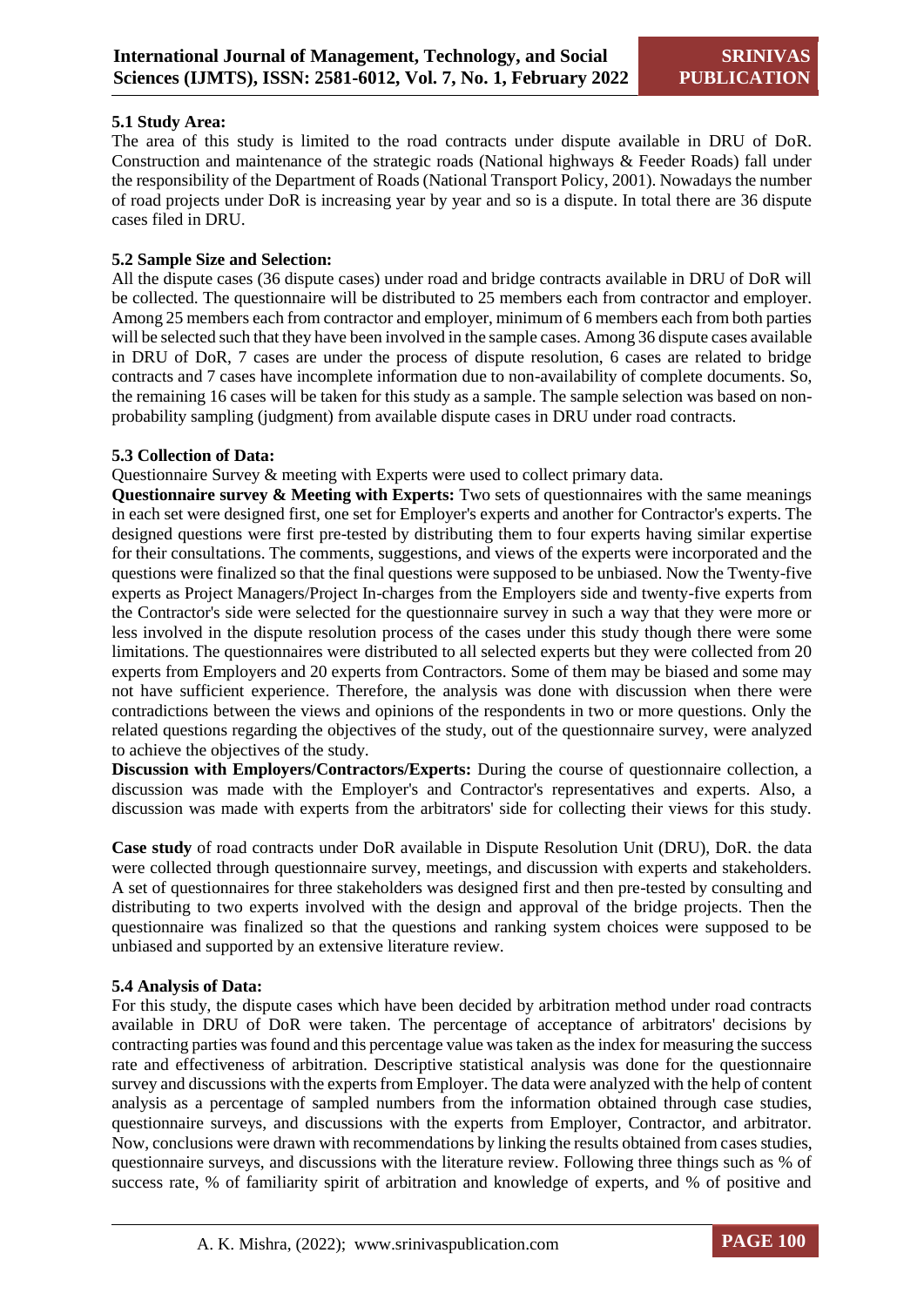## **5.1 Study Area:**

The area of this study is limited to the road contracts under dispute available in DRU of DoR. Construction and maintenance of the strategic roads (National highways & Feeder Roads) fall under the responsibility of the Department of Roads (National Transport Policy, 2001). Nowadays the number of road projects under DoR is increasing year by year and so is a dispute. In total there are 36 dispute cases filed in DRU.

## **5.2 Sample Size and Selection:**

All the dispute cases (36 dispute cases) under road and bridge contracts available in DRU of DoR will be collected. The questionnaire will be distributed to 25 members each from contractor and employer. Among 25 members each from contractor and employer, minimum of 6 members each from both parties will be selected such that they have been involved in the sample cases. Among 36 dispute cases available in DRU of DoR, 7 cases are under the process of dispute resolution, 6 cases are related to bridge contracts and 7 cases have incomplete information due to non-availability of complete documents. So, the remaining 16 cases will be taken for this study as a sample. The sample selection was based on nonprobability sampling (judgment) from available dispute cases in DRU under road contracts.

## **5.3 Collection of Data:**

Questionnaire Survey & meeting with Experts were used to collect primary data.

**Questionnaire survey & Meeting with Experts:** Two sets of questionnaires with the same meanings in each set were designed first, one set for Employer's experts and another for Contractor's experts. The designed questions were first pre-tested by distributing them to four experts having similar expertise for their consultations. The comments, suggestions, and views of the experts were incorporated and the questions were finalized so that the final questions were supposed to be unbiased. Now the Twenty-five experts as Project Managers/Project In-charges from the Employers side and twenty-five experts from the Contractor's side were selected for the questionnaire survey in such a way that they were more or less involved in the dispute resolution process of the cases under this study though there were some limitations. The questionnaires were distributed to all selected experts but they were collected from 20 experts from Employers and 20 experts from Contractors. Some of them may be biased and some may not have sufficient experience. Therefore, the analysis was done with discussion when there were contradictions between the views and opinions of the respondents in two or more questions. Only the related questions regarding the objectives of the study, out of the questionnaire survey, were analyzed to achieve the objectives of the study.

**Discussion with Employers/Contractors/Experts:** During the course of questionnaire collection, a discussion was made with the Employer's and Contractor's representatives and experts. Also, a discussion was made with experts from the arbitrators' side for collecting their views for this study.

**Case study** of road contracts under DoR available in Dispute Resolution Unit (DRU), DoR. the data were collected through questionnaire survey, meetings, and discussion with experts and stakeholders. A set of questionnaires for three stakeholders was designed first and then pre-tested by consulting and distributing to two experts involved with the design and approval of the bridge projects. Then the questionnaire was finalized so that the questions and ranking system choices were supposed to be unbiased and supported by an extensive literature review.

## **5.4 Analysis of Data:**

For this study, the dispute cases which have been decided by arbitration method under road contracts available in DRU of DoR were taken. The percentage of acceptance of arbitrators' decisions by contracting parties was found and this percentage value was taken as the index for measuring the success rate and effectiveness of arbitration. Descriptive statistical analysis was done for the questionnaire survey and discussions with the experts from Employer. The data were analyzed with the help of content analysis as a percentage of sampled numbers from the information obtained through case studies, questionnaire surveys, and discussions with the experts from Employer, Contractor, and arbitrator. Now, conclusions were drawn with recommendations by linking the results obtained from cases studies, questionnaire surveys, and discussions with the literature review. Following three things such as % of success rate, % of familiarity spirit of arbitration and knowledge of experts, and % of positive and

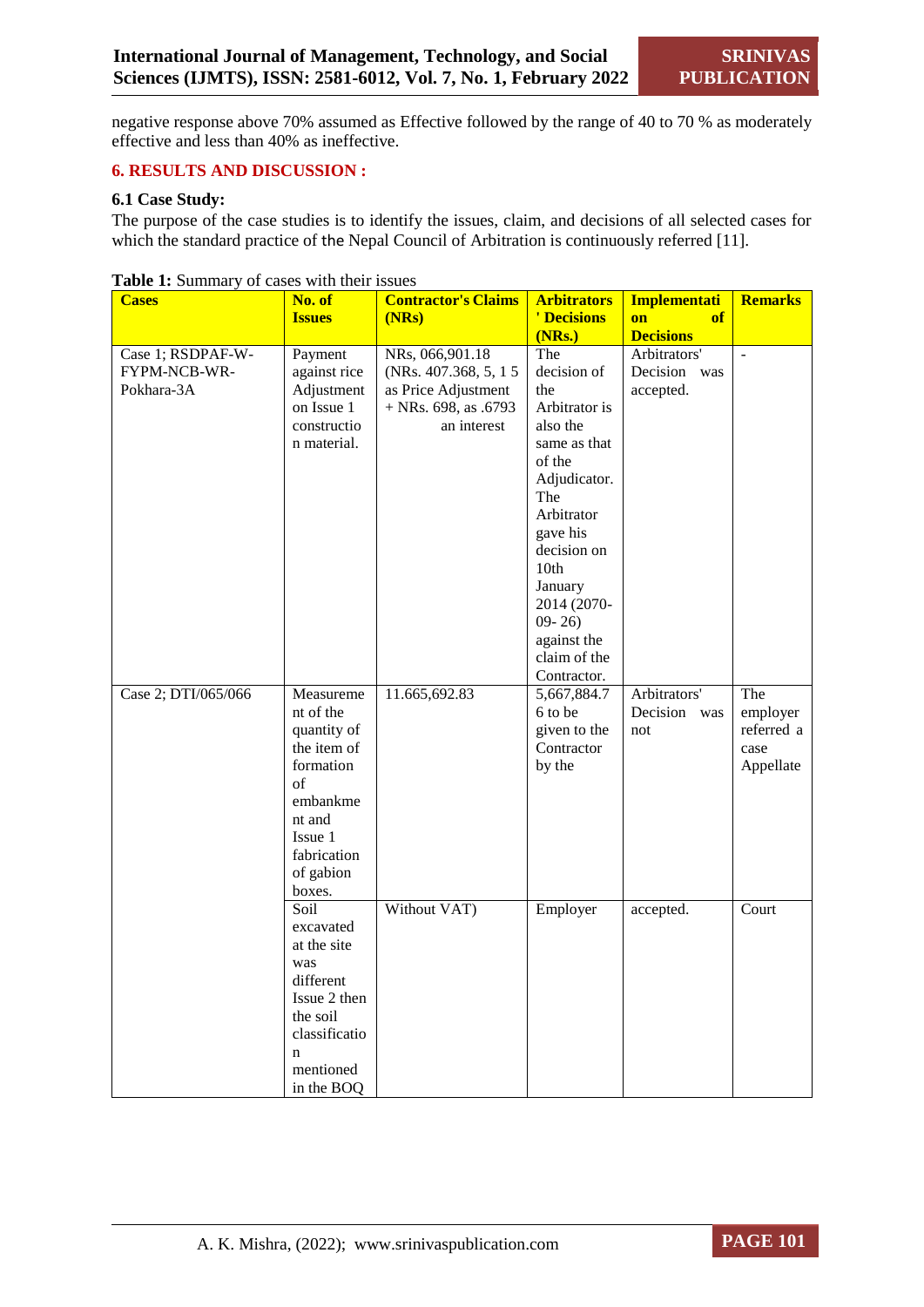negative response above 70% assumed as Effective followed by the range of 40 to 70 % as moderately effective and less than 40% as ineffective.

## **6. RESULTS AND DISCUSSION :**

## **6.1 Case Study:**

The purpose of the case studies is to identify the issues, claim, and decisions of all selected cases for which the standard practice of the Nepal Council of Arbitration is continuously referred [11].

| <b>Cases</b>        | No. of              | <b>Contractor's Claims</b> | <b>Arbitrators</b> | <b>Implementati</b> | <b>Remarks</b> |
|---------------------|---------------------|----------------------------|--------------------|---------------------|----------------|
|                     | <b>Issues</b>       | (NRs)                      | ' Decisions        | on<br>of            |                |
|                     |                     |                            | (NRs.)             | <b>Decisions</b>    |                |
| Case 1; RSDPAF-W-   | Payment             | NRs, 066,901.18            | The                | Arbitrators'        |                |
| FYPM-NCB-WR-        | against rice        | (NRs. 407.368, 5, 1 5)     | decision of        | Decision was        |                |
| Pokhara-3A          | Adjustment          | as Price Adjustment        | the                | accepted.           |                |
|                     | on Issue 1          | $+$ NRs. 698, as .6793     | Arbitrator is      |                     |                |
|                     | constructio         | an interest                | also the           |                     |                |
|                     | n material.         |                            | same as that       |                     |                |
|                     |                     |                            | of the             |                     |                |
|                     |                     |                            | Adjudicator.       |                     |                |
|                     |                     |                            | The                |                     |                |
|                     |                     |                            | Arbitrator         |                     |                |
|                     |                     |                            | gave his           |                     |                |
|                     |                     |                            | decision on        |                     |                |
|                     |                     |                            | 10th               |                     |                |
|                     |                     |                            | January            |                     |                |
|                     |                     |                            | 2014 (2070-        |                     |                |
|                     |                     |                            | $09 - 26$          |                     |                |
|                     |                     |                            | against the        |                     |                |
|                     |                     |                            | claim of the       |                     |                |
|                     |                     |                            | Contractor.        |                     |                |
| Case 2; DTI/065/066 | Measureme           | 11.665,692.83              | 5,667,884.7        | Arbitrators'        | The            |
|                     | nt of the           |                            | 6 to be            | Decision<br>was     | employer       |
|                     | quantity of         |                            | given to the       | not                 | referred a     |
|                     | the item of         |                            | Contractor         |                     | case           |
|                     | formation           |                            | by the             |                     | Appellate      |
|                     | of                  |                            |                    |                     |                |
|                     | embankme            |                            |                    |                     |                |
|                     | nt and<br>Issue 1   |                            |                    |                     |                |
|                     |                     |                            |                    |                     |                |
|                     | fabrication         |                            |                    |                     |                |
|                     | of gabion<br>boxes. |                            |                    |                     |                |
|                     | Soil                | Without VAT)               | Employer           | accepted.           | Court          |
|                     | excavated           |                            |                    |                     |                |
|                     | at the site         |                            |                    |                     |                |
|                     | was                 |                            |                    |                     |                |
|                     | different           |                            |                    |                     |                |
|                     | Issue 2 then        |                            |                    |                     |                |
|                     | the soil            |                            |                    |                     |                |
|                     | classificatio       |                            |                    |                     |                |
|                     | n                   |                            |                    |                     |                |
|                     | mentioned           |                            |                    |                     |                |
|                     | in the BOQ          |                            |                    |                     |                |

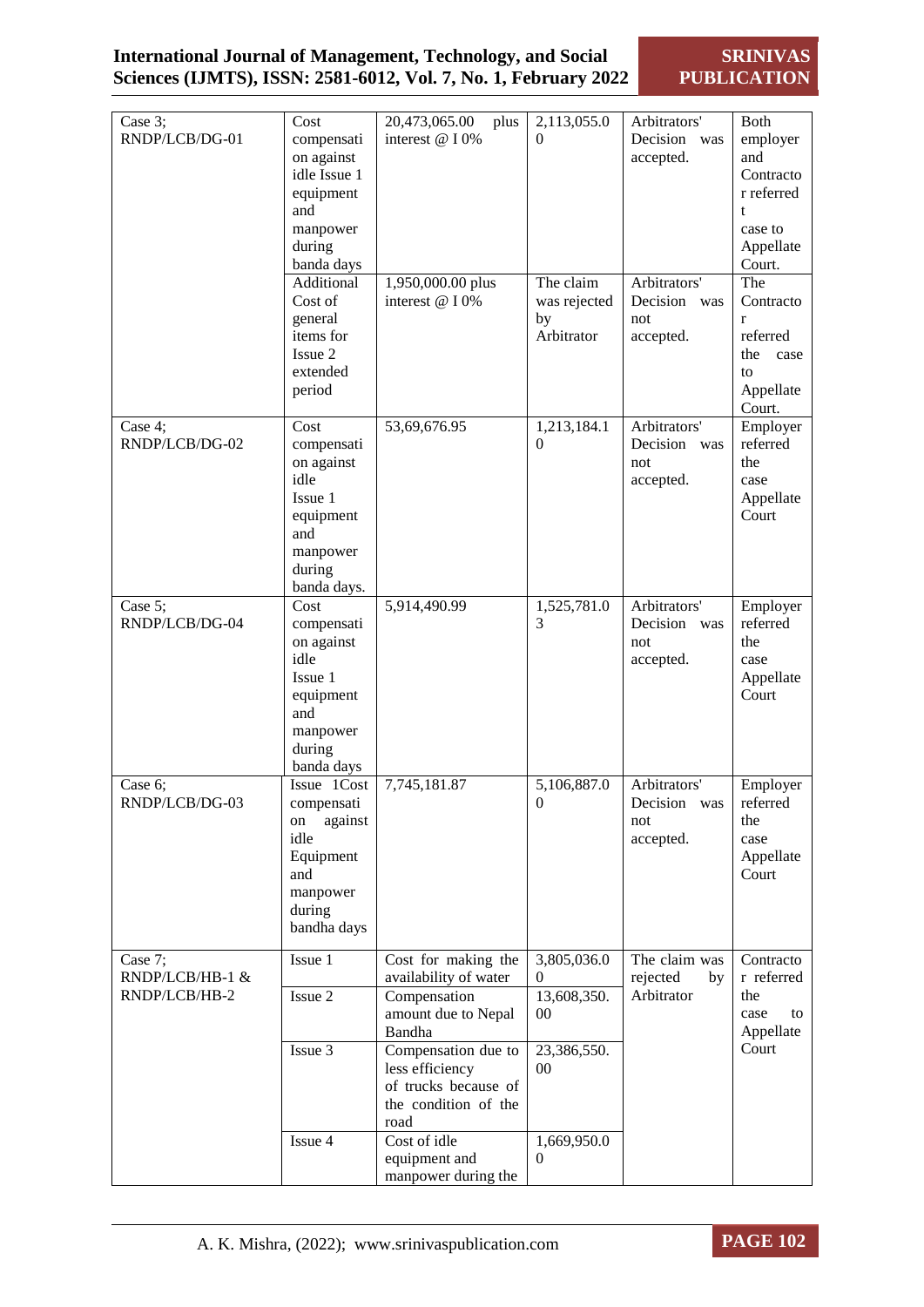**SRINIVAS PUBLICATION**

| Case 3;<br>RNDP/LCB/DG-01                   | Cost<br>compensati<br>on against<br>idle Issue 1<br>equipment<br>and<br>manpower<br>during<br>banda days<br>Additional<br>Cost of<br>general<br>items for<br>Issue 2<br>extended<br>period | 20,473,065.00<br>plus<br>interest @ I 0%<br>1,950,000.00 plus<br>interest @ I 0%               | 2,113,055.0<br>$\theta$<br>The claim<br>was rejected<br>by<br>Arbitrator | Arbitrators'<br>Decision was<br>accepted.<br>Arbitrators'<br>Decision<br>was<br>not<br>accepted. | Both<br>employer<br>and<br>Contracto<br>r referred<br>t<br>case to<br>Appellate<br>Court.<br>The<br>Contracto<br>r<br>referred<br>the<br>case<br>to<br>Appellate |
|---------------------------------------------|--------------------------------------------------------------------------------------------------------------------------------------------------------------------------------------------|------------------------------------------------------------------------------------------------|--------------------------------------------------------------------------|--------------------------------------------------------------------------------------------------|------------------------------------------------------------------------------------------------------------------------------------------------------------------|
| Case 4;<br>RNDP/LCB/DG-02                   | Cost<br>compensati<br>on against<br>idle<br>Issue 1<br>equipment<br>and<br>manpower<br>during<br>banda days.                                                                               | 53,69,676.95                                                                                   | 1,213,184.1<br>$\Omega$                                                  | Arbitrators'<br>Decision<br>was<br>not<br>accepted.                                              | Court.<br>Employer<br>referred<br>the<br>case<br>Appellate<br>Court                                                                                              |
| Case 5;<br>RNDP/LCB/DG-04                   | Cost<br>compensati<br>on against<br>idle<br>Issue 1<br>equipment<br>and<br>manpower<br>during<br>banda days                                                                                | 5,914,490.99                                                                                   | 1,525,781.0<br>3                                                         | Arbitrators'<br>Decision was<br>not<br>accepted.                                                 | Employer<br>referred<br>the<br>case<br>Appellate<br>Court                                                                                                        |
| Case 6;<br>RNDP/LCB/DG-03                   | Issue 1Cost<br>compensati<br>against<br>on<br>idle<br>Equipment<br>and<br>manpower<br>during<br>bandha days                                                                                | 7,745,181.87                                                                                   | 5,106,887.0<br>$\mathbf{U}$                                              | Arbitrators'<br>Decision<br>was<br>not<br>accepted.                                              | Employer<br>referred<br>the<br>case<br>Appellate<br>Court                                                                                                        |
| Case 7;<br>RNDP/LCB/HB-1 &<br>RNDP/LCB/HB-2 | Issue 1<br>Issue 2                                                                                                                                                                         | Cost for making the<br>availability of water<br>Compensation<br>amount due to Nepal<br>Bandha  | 3,805,036.0<br>$\theta$<br>13,608,350.<br>$00\,$                         | The claim was<br>rejected<br>by<br>Arbitrator                                                    | Contracto<br>r referred<br>the<br>case<br>to<br>Appellate                                                                                                        |
|                                             | Issue 3                                                                                                                                                                                    | Compensation due to<br>less efficiency<br>of trucks because of<br>the condition of the<br>road | 23,386,550.<br>$00\,$                                                    |                                                                                                  | Court                                                                                                                                                            |
|                                             | Issue 4                                                                                                                                                                                    | Cost of idle<br>equipment and<br>manpower during the                                           | 1,669,950.0<br>0                                                         |                                                                                                  |                                                                                                                                                                  |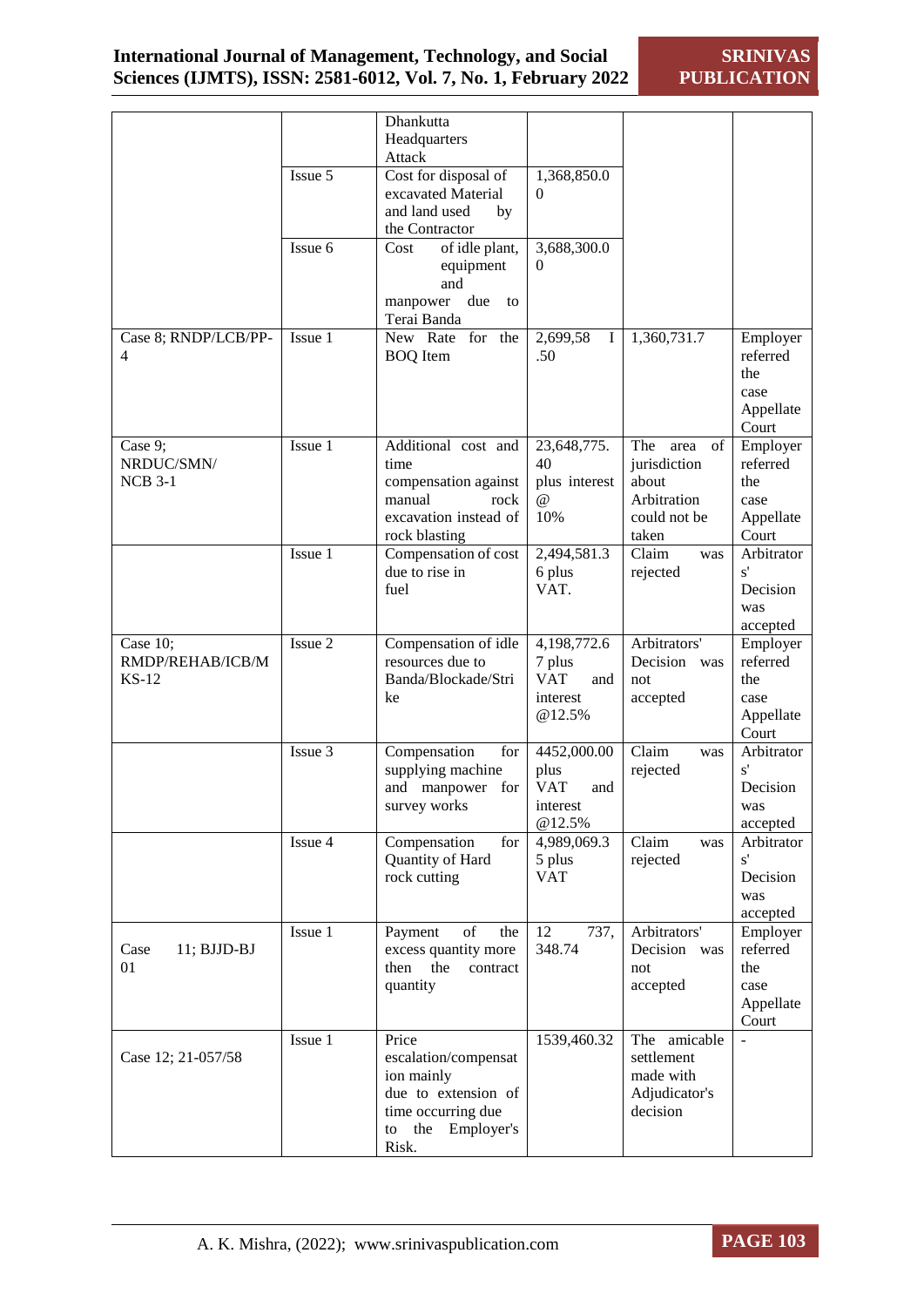|                      |         | Dhankutta<br>Headquarters                    |                               |                                 |                      |
|----------------------|---------|----------------------------------------------|-------------------------------|---------------------------------|----------------------|
|                      |         | Attack                                       |                               |                                 |                      |
|                      | Issue 5 | Cost for disposal of                         | 1,368,850.0                   |                                 |                      |
|                      |         | excavated Material                           | $\Omega$                      |                                 |                      |
|                      |         | and land used<br>by                          |                               |                                 |                      |
|                      |         | the Contractor                               |                               |                                 |                      |
|                      | Issue 6 | of idle plant,<br>Cost                       | 3,688,300.0                   |                                 |                      |
|                      |         | equipment                                    | $\Omega$                      |                                 |                      |
|                      |         | and<br>manpower<br>due<br>to                 |                               |                                 |                      |
|                      |         | Terai Banda                                  |                               |                                 |                      |
| Case 8; RNDP/LCB/PP- | Issue 1 | New Rate for the                             | 2,699,58<br>$\bf{I}$          | 1,360,731.7                     | Employer             |
| 4                    |         | <b>BOQ</b> Item                              | .50                           |                                 | referred             |
|                      |         |                                              |                               |                                 | the                  |
|                      |         |                                              |                               |                                 | case                 |
|                      |         |                                              |                               |                                 | Appellate            |
| Case 9;              | Issue 1 | Additional cost and                          | 23,648,775.                   | The<br>of<br>area               | Court<br>Employer    |
| NRDUC/SMN/           |         | time                                         | 40                            | jurisdiction                    | referred             |
| <b>NCB 3-1</b>       |         | compensation against                         | plus interest                 | about                           | the                  |
|                      |         | manual<br>rock                               | @                             | Arbitration                     | case                 |
|                      |         | excavation instead of                        | 10%                           | could not be                    | Appellate            |
|                      | Issue 1 | rock blasting<br>Compensation of cost        | 2,494,581.3                   | taken<br>Claim<br>was           | Court<br>Arbitrator  |
|                      |         | due to rise in                               | 6 plus                        | rejected                        | s'                   |
|                      |         | fuel                                         | VAT.                          |                                 | Decision             |
|                      |         |                                              |                               |                                 | was                  |
|                      |         |                                              |                               |                                 | accepted             |
| Case 10;             | Issue 2 | Compensation of idle                         | 4,198,772.6                   | Arbitrators'                    | Employer             |
| RMDP/REHAB/ICB/M     |         | resources due to                             | 7 plus<br><b>VAT</b>          | Decision<br>was                 | referred             |
| <b>KS-12</b>         |         | Banda/Blockade/Stri<br>ke                    | and<br>interest               | not<br>accepted                 | the<br>case          |
|                      |         |                                              | @12.5%                        |                                 | Appellate            |
|                      |         |                                              |                               |                                 | Court                |
|                      | Issue 3 | Compensation<br>for                          | 4452,000.00                   | Claim<br>was                    | Arbitrator           |
|                      |         | supplying machine                            | plus                          | rejected                        | s'                   |
|                      |         | and manpower for                             | <b>VAT</b><br>and<br>interest |                                 | Decision             |
|                      |         | survey works                                 | @12.5%                        |                                 | was<br>accepted      |
|                      | Issue 4 | Compensation<br>for                          | 4,989,069.3                   | Claim<br>was                    | Arbitrator           |
|                      |         | Quantity of Hard                             | 5 plus                        | rejected                        | s'                   |
|                      |         | rock cutting                                 | <b>VAT</b>                    |                                 | Decision             |
|                      |         |                                              |                               |                                 | was                  |
|                      |         |                                              |                               |                                 | accepted             |
| $11; BJJD-BJ$        | Issue 1 | Payment<br>of<br>the<br>excess quantity more | 12<br>737,<br>348.74          | Arbitrators'<br>Decision<br>was | Employer<br>referred |
| Case<br>01           |         | the<br>then<br>contract                      |                               | not                             | the                  |
|                      |         | quantity                                     |                               | accepted                        | case                 |
|                      |         |                                              |                               |                                 | Appellate            |
|                      |         |                                              |                               |                                 | Court                |
|                      | Issue 1 | Price                                        | 1539,460.32                   | The amicable                    |                      |
| Case 12; 21-057/58   |         | escalation/compensat                         |                               | settlement                      |                      |
|                      |         | ion mainly<br>due to extension of            |                               | made with<br>Adjudicator's      |                      |
|                      |         | time occurring due                           |                               | decision                        |                      |
|                      |         | the<br>Employer's<br>to                      |                               |                                 |                      |
|                      |         | Risk.                                        |                               |                                 |                      |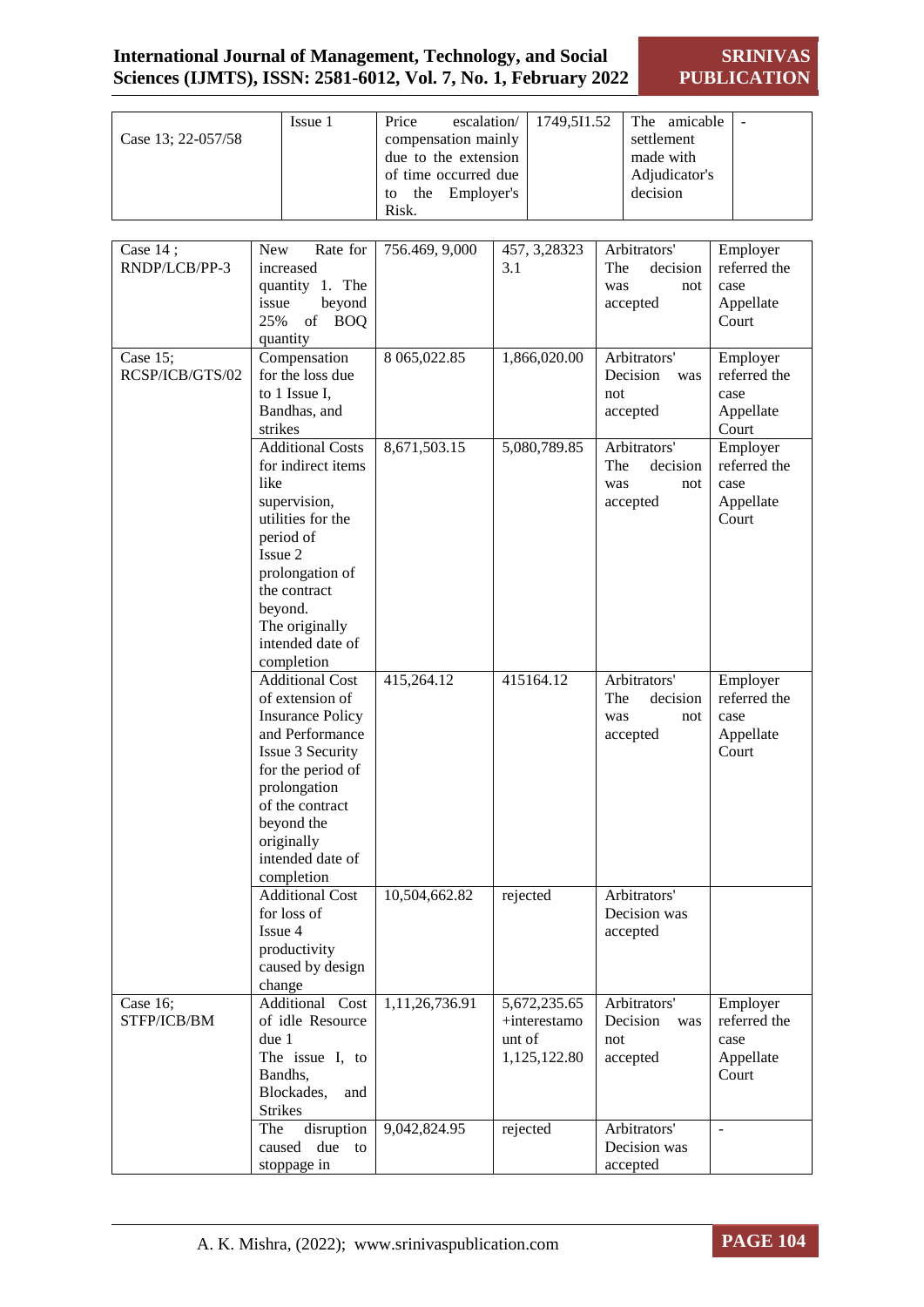## **International Journal of Management, Technology, and Social Sciences (IJMTS), ISSN: 2581-6012, Vol. 7, No. 1, February 2022**

**SRINIVAS PUBLICATION**

| Case 13; 22-057/58          | Issue 1                                                                                                                                                                                                                           | Price<br>escalation/<br>compensation mainly<br>due to the extension<br>of time occurred due<br>Employer's<br>the<br>to<br>Risk. | 1749,5I1.52                                            | The amicable<br>settlement<br>made with<br>Adjudicator's<br>decision | $\overline{\phantom{a}}$                               |
|-----------------------------|-----------------------------------------------------------------------------------------------------------------------------------------------------------------------------------------------------------------------------------|---------------------------------------------------------------------------------------------------------------------------------|--------------------------------------------------------|----------------------------------------------------------------------|--------------------------------------------------------|
|                             |                                                                                                                                                                                                                                   |                                                                                                                                 |                                                        |                                                                      |                                                        |
| Case 14;<br>RNDP/LCB/PP-3   | <b>New</b><br>Rate for<br>increased<br>quantity 1. The<br>beyond<br>issue<br>25%<br>of<br><b>BOQ</b>                                                                                                                              | 756.469, 9,000                                                                                                                  | 457, 3, 28323<br>3.1                                   | Arbitrators'<br>The<br>decision<br>was<br>not<br>accepted            | Employer<br>referred the<br>case<br>Appellate<br>Court |
|                             | quantity                                                                                                                                                                                                                          |                                                                                                                                 |                                                        |                                                                      |                                                        |
| Case 15;<br>RCSP/ICB/GTS/02 | Compensation<br>for the loss due<br>to 1 Issue I,<br>Bandhas, and<br>strikes                                                                                                                                                      | 8 065,022.85                                                                                                                    | 1,866,020.00                                           | Arbitrators'<br>Decision<br>was<br>not<br>accepted                   | Employer<br>referred the<br>case<br>Appellate<br>Court |
|                             | <b>Additional Costs</b><br>for indirect items<br>like<br>supervision,<br>utilities for the<br>period of<br>Issue 2<br>prolongation of<br>the contract<br>beyond.<br>The originally<br>intended date of<br>completion              | 8,671,503.15                                                                                                                    | 5,080,789.85                                           | Arbitrators'<br>The<br>decision<br>was<br>not<br>accepted            | Employer<br>referred the<br>case<br>Appellate<br>Court |
|                             | <b>Additional Cost</b><br>of extension of<br><b>Insurance Policy</b><br>and Performance<br>Issue 3 Security<br>for the period of<br>prolongation<br>of the contract<br>beyond the<br>originally<br>intended date of<br>completion | 415,264.12                                                                                                                      | 415164.12                                              | Arbitrators'<br>The<br>decision<br>was<br>not<br>accepted            | Employer<br>referred the<br>case<br>Appellate<br>Court |
|                             | <b>Additional Cost</b><br>for loss of<br>Issue 4<br>productivity<br>caused by design<br>change                                                                                                                                    | 10,504,662.82                                                                                                                   | rejected                                               | Arbitrators'<br>Decision was<br>accepted                             |                                                        |
| Case 16;<br>STFP/ICB/BM     | Additional Cost<br>of idle Resource<br>due 1<br>The issue I, to<br>Bandhs,<br>Blockades,<br>and<br><b>Strikes</b>                                                                                                                 | 1,11,26,736.91                                                                                                                  | 5,672,235.65<br>+interestamo<br>unt of<br>1,125,122.80 | Arbitrators'<br>Decision<br>was<br>not<br>accepted                   | Employer<br>referred the<br>case<br>Appellate<br>Court |
|                             | disruption<br>The<br>caused<br>due<br>to<br>stoppage in                                                                                                                                                                           | 9,042,824.95                                                                                                                    | rejected                                               | Arbitrators'<br>Decision was<br>accepted                             | $\overline{\phantom{a}}$                               |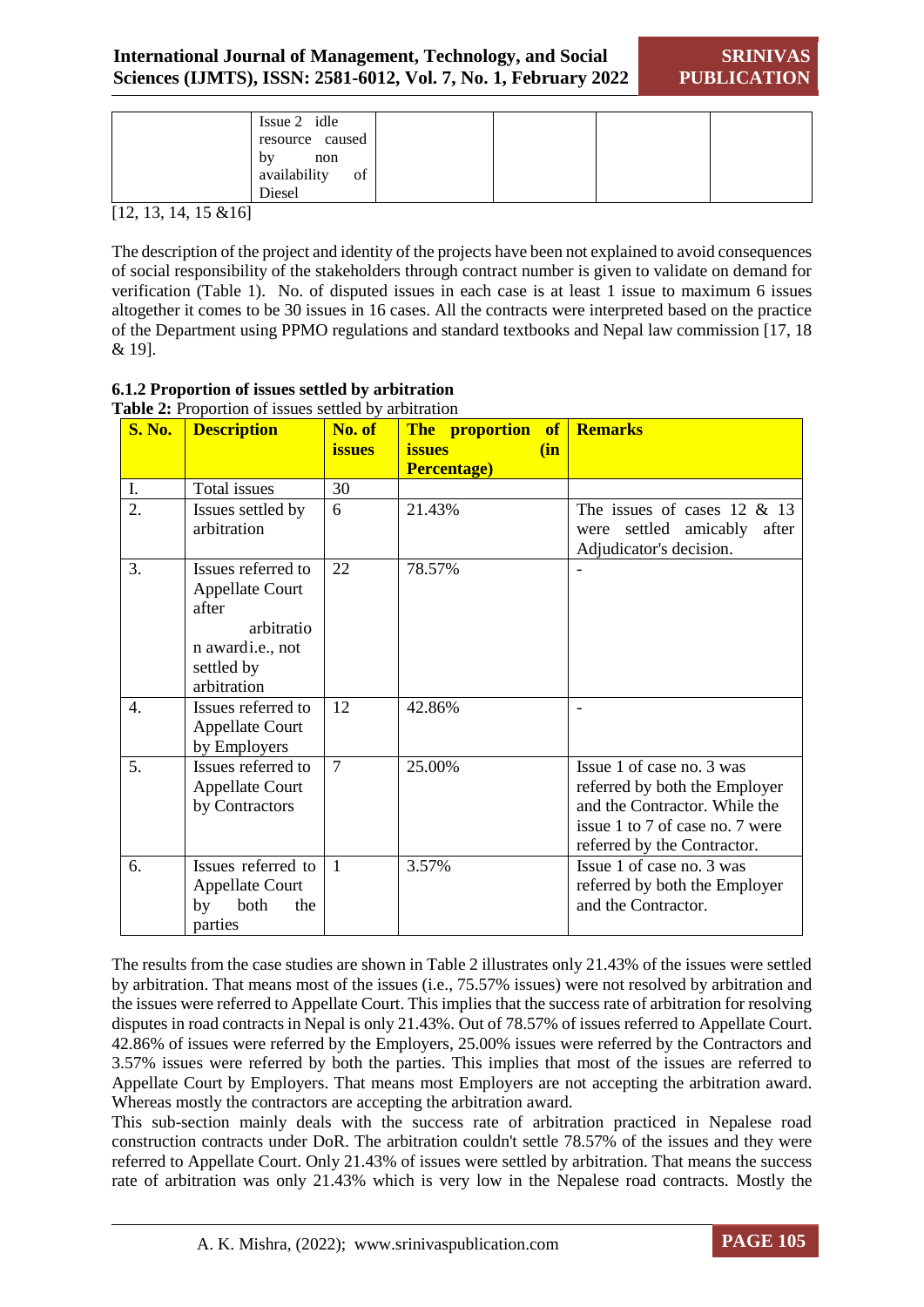| Issue 2 idle       |  |  |
|--------------------|--|--|
| resource caused    |  |  |
| by<br>non          |  |  |
| availability<br>of |  |  |
| Diesel             |  |  |

[12, 13, 14, 15 &16]

The description of the project and identity of the projects have been not explained to avoid consequences of social responsibility of the stakeholders through contract number is given to validate on demand for verification (Table 1). No. of disputed issues in each case is at least 1 issue to maximum 6 issues altogether it comes to be 30 issues in 16 cases. All the contracts were interpreted based on the practice of the Department using PPMO regulations and standard textbooks and Nepal law commission [17, 18 & 19].

## **6.1.2 Proportion of issues settled by arbitration**

|                  | <b>Radio 2.</b> 110 portion of issues settica by arbitration |                |                           |                                 |
|------------------|--------------------------------------------------------------|----------------|---------------------------|---------------------------------|
| <b>S. No.</b>    | <b>Description</b>                                           | No. of         | The proportion of Remarks |                                 |
|                  |                                                              | <i>issues</i>  | <b>issues</b><br>(in      |                                 |
|                  |                                                              |                | <b>Percentage)</b>        |                                 |
| I.               | <b>Total</b> issues                                          | 30             |                           |                                 |
| 2.               | Issues settled by                                            | 6              | 21.43%                    | The issues of cases $12 \& 13$  |
|                  | arbitration                                                  |                |                           | were settled amicably after     |
|                  |                                                              |                |                           | Adjudicator's decision.         |
| 3.               | Issues referred to                                           | 22             | 78.57%                    |                                 |
|                  | <b>Appellate Court</b>                                       |                |                           |                                 |
|                  | after                                                        |                |                           |                                 |
|                  | arbitratio                                                   |                |                           |                                 |
|                  | n awardi.e., not                                             |                |                           |                                 |
|                  | settled by                                                   |                |                           |                                 |
|                  | arbitration                                                  |                |                           |                                 |
| $\overline{4}$ . | Issues referred to                                           | 12             | 42.86%                    |                                 |
|                  | <b>Appellate Court</b>                                       |                |                           |                                 |
|                  | by Employers                                                 |                |                           |                                 |
| 5.               | Issues referred to                                           | $\overline{7}$ | 25.00%                    | Issue 1 of case no. 3 was       |
|                  | <b>Appellate Court</b>                                       |                |                           | referred by both the Employer   |
|                  | by Contractors                                               |                |                           | and the Contractor. While the   |
|                  |                                                              |                |                           | issue 1 to 7 of case no. 7 were |
|                  |                                                              |                |                           |                                 |
|                  |                                                              |                |                           | referred by the Contractor.     |
| 6.               | Issues referred to                                           | $\overline{1}$ | 3.57%                     | Issue 1 of case no. 3 was       |
|                  | <b>Appellate Court</b>                                       |                |                           | referred by both the Employer   |
|                  | both<br>the<br>by                                            |                |                           | and the Contractor.             |
|                  | parties                                                      |                |                           |                                 |

## **Table 2:** Proportion of issues settled by arbitration

The results from the case studies are shown in Table 2 illustrates only 21.43% of the issues were settled by arbitration. That means most of the issues (i.e., 75.57% issues) were not resolved by arbitration and the issues were referred to Appellate Court. This implies that the success rate of arbitration for resolving disputes in road contracts in Nepal is only 21.43%. Out of 78.57% of issues referred to Appellate Court. 42.86% of issues were referred by the Employers, 25.00% issues were referred by the Contractors and 3.57% issues were referred by both the parties. This implies that most of the issues are referred to Appellate Court by Employers. That means most Employers are not accepting the arbitration award. Whereas mostly the contractors are accepting the arbitration award.

This sub-section mainly deals with the success rate of arbitration practiced in Nepalese road construction contracts under DoR. The arbitration couldn't settle 78.57% of the issues and they were referred to Appellate Court. Only 21.43% of issues were settled by arbitration. That means the success rate of arbitration was only 21.43% which is very low in the Nepalese road contracts. Mostly the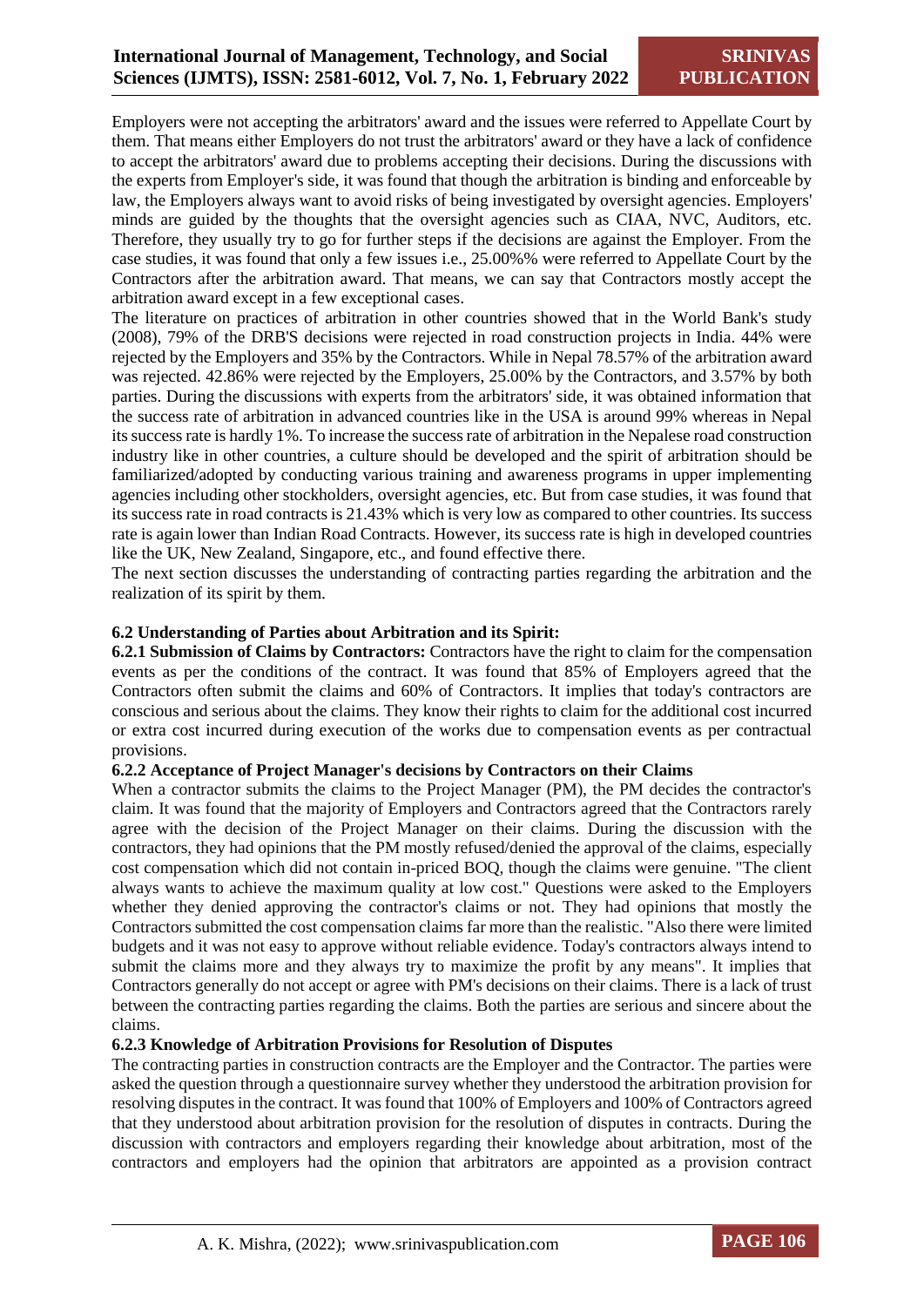Employers were not accepting the arbitrators' award and the issues were referred to Appellate Court by them. That means either Employers do not trust the arbitrators' award or they have a lack of confidence to accept the arbitrators' award due to problems accepting their decisions. During the discussions with the experts from Employer's side, it was found that though the arbitration is binding and enforceable by law, the Employers always want to avoid risks of being investigated by oversight agencies. Employers' minds are guided by the thoughts that the oversight agencies such as CIAA, NVC, Auditors, etc. Therefore, they usually try to go for further steps if the decisions are against the Employer. From the case studies, it was found that only a few issues i.e., 25.00%% were referred to Appellate Court by the Contractors after the arbitration award. That means, we can say that Contractors mostly accept the arbitration award except in a few exceptional cases.

The literature on practices of arbitration in other countries showed that in the World Bank's study (2008), 79% of the DRB'S decisions were rejected in road construction projects in India. 44% were rejected by the Employers and 35% by the Contractors. While in Nepal 78.57% of the arbitration award was rejected. 42.86% were rejected by the Employers, 25.00% by the Contractors, and 3.57% by both parties. During the discussions with experts from the arbitrators' side, it was obtained information that the success rate of arbitration in advanced countries like in the USA is around 99% whereas in Nepal its success rate is hardly 1%. To increase the success rate of arbitration in the Nepalese road construction industry like in other countries, a culture should be developed and the spirit of arbitration should be familiarized/adopted by conducting various training and awareness programs in upper implementing agencies including other stockholders, oversight agencies, etc. But from case studies, it was found that its success rate in road contracts is 21.43% which is very low as compared to other countries. Its success rate is again lower than Indian Road Contracts. However, its success rate is high in developed countries like the UK, New Zealand, Singapore, etc., and found effective there.

The next section discusses the understanding of contracting parties regarding the arbitration and the realization of its spirit by them.

## **6.2 Understanding of Parties about Arbitration and its Spirit:**

**6.2.1 Submission of Claims by Contractors:** Contractors have the right to claim for the compensation events as per the conditions of the contract. It was found that 85% of Employers agreed that the Contractors often submit the claims and 60% of Contractors. It implies that today's contractors are conscious and serious about the claims. They know their rights to claim for the additional cost incurred or extra cost incurred during execution of the works due to compensation events as per contractual provisions.

## **6.2.2 Acceptance of Project Manager's decisions by Contractors on their Claims**

When a contractor submits the claims to the Project Manager (PM), the PM decides the contractor's claim. It was found that the majority of Employers and Contractors agreed that the Contractors rarely agree with the decision of the Project Manager on their claims. During the discussion with the contractors, they had opinions that the PM mostly refused/denied the approval of the claims, especially cost compensation which did not contain in-priced BOQ, though the claims were genuine. "The client always wants to achieve the maximum quality at low cost." Questions were asked to the Employers whether they denied approving the contractor's claims or not. They had opinions that mostly the Contractors submitted the cost compensation claims far more than the realistic. "Also there were limited budgets and it was not easy to approve without reliable evidence. Today's contractors always intend to submit the claims more and they always try to maximize the profit by any means". It implies that Contractors generally do not accept or agree with PM's decisions on their claims. There is a lack of trust between the contracting parties regarding the claims. Both the parties are serious and sincere about the claims.

## **6.2.3 Knowledge of Arbitration Provisions for Resolution of Disputes**

The contracting parties in construction contracts are the Employer and the Contractor. The parties were asked the question through a questionnaire survey whether they understood the arbitration provision for resolving disputes in the contract. It was found that 100% of Employers and 100% of Contractors agreed that they understood about arbitration provision for the resolution of disputes in contracts. During the discussion with contractors and employers regarding their knowledge about arbitration, most of the contractors and employers had the opinion that arbitrators are appointed as a provision contract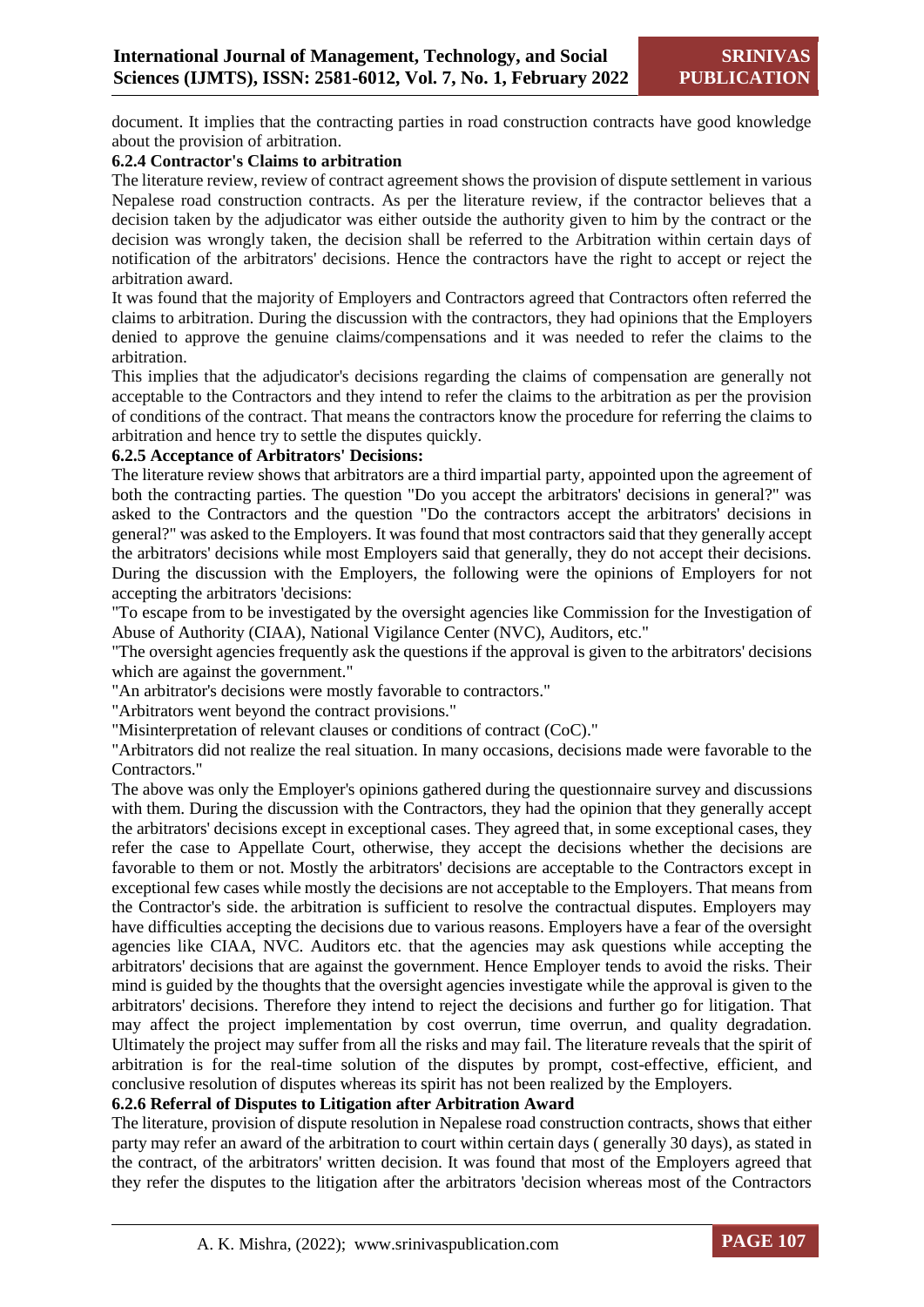document. It implies that the contracting parties in road construction contracts have good knowledge about the provision of arbitration.

## **6.2.4 Contractor's Claims to arbitration**

The literature review, review of contract agreement shows the provision of dispute settlement in various Nepalese road construction contracts. As per the literature review, if the contractor believes that a decision taken by the adjudicator was either outside the authority given to him by the contract or the decision was wrongly taken, the decision shall be referred to the Arbitration within certain days of notification of the arbitrators' decisions. Hence the contractors have the right to accept or reject the arbitration award.

It was found that the majority of Employers and Contractors agreed that Contractors often referred the claims to arbitration. During the discussion with the contractors, they had opinions that the Employers denied to approve the genuine claims/compensations and it was needed to refer the claims to the arbitration.

This implies that the adjudicator's decisions regarding the claims of compensation are generally not acceptable to the Contractors and they intend to refer the claims to the arbitration as per the provision of conditions of the contract. That means the contractors know the procedure for referring the claims to arbitration and hence try to settle the disputes quickly.

## **6.2.5 Acceptance of Arbitrators' Decisions:**

The literature review shows that arbitrators are a third impartial party, appointed upon the agreement of both the contracting parties. The question "Do you accept the arbitrators' decisions in general?" was asked to the Contractors and the question "Do the contractors accept the arbitrators' decisions in general?" was asked to the Employers. It was found that most contractors said that they generally accept the arbitrators' decisions while most Employers said that generally, they do not accept their decisions. During the discussion with the Employers, the following were the opinions of Employers for not accepting the arbitrators 'decisions:

"To escape from to be investigated by the oversight agencies like Commission for the Investigation of Abuse of Authority (CIAA), National Vigilance Center (NVC), Auditors, etc."

"The oversight agencies frequently ask the questions if the approval is given to the arbitrators' decisions which are against the government."

"An arbitrator's decisions were mostly favorable to contractors."

"Arbitrators went beyond the contract provisions."

"Misinterpretation of relevant clauses or conditions of contract (CoC)."

"Arbitrators did not realize the real situation. In many occasions, decisions made were favorable to the Contractors."

The above was only the Employer's opinions gathered during the questionnaire survey and discussions with them. During the discussion with the Contractors, they had the opinion that they generally accept the arbitrators' decisions except in exceptional cases. They agreed that, in some exceptional cases, they refer the case to Appellate Court, otherwise, they accept the decisions whether the decisions are favorable to them or not. Mostly the arbitrators' decisions are acceptable to the Contractors except in exceptional few cases while mostly the decisions are not acceptable to the Employers. That means from the Contractor's side. the arbitration is sufficient to resolve the contractual disputes. Employers may have difficulties accepting the decisions due to various reasons. Employers have a fear of the oversight agencies like CIAA, NVC. Auditors etc. that the agencies may ask questions while accepting the arbitrators' decisions that are against the government. Hence Employer tends to avoid the risks. Their mind is guided by the thoughts that the oversight agencies investigate while the approval is given to the arbitrators' decisions. Therefore they intend to reject the decisions and further go for litigation. That may affect the project implementation by cost overrun, time overrun, and quality degradation. Ultimately the project may suffer from all the risks and may fail. The literature reveals that the spirit of arbitration is for the real-time solution of the disputes by prompt, cost-effective, efficient, and conclusive resolution of disputes whereas its spirit has not been realized by the Employers.

## **6.2.6 Referral of Disputes to Litigation after Arbitration Award**

The literature, provision of dispute resolution in Nepalese road construction contracts, shows that either party may refer an award of the arbitration to court within certain days ( generally 30 days), as stated in the contract, of the arbitrators' written decision. It was found that most of the Employers agreed that they refer the disputes to the litigation after the arbitrators 'decision whereas most of the Contractors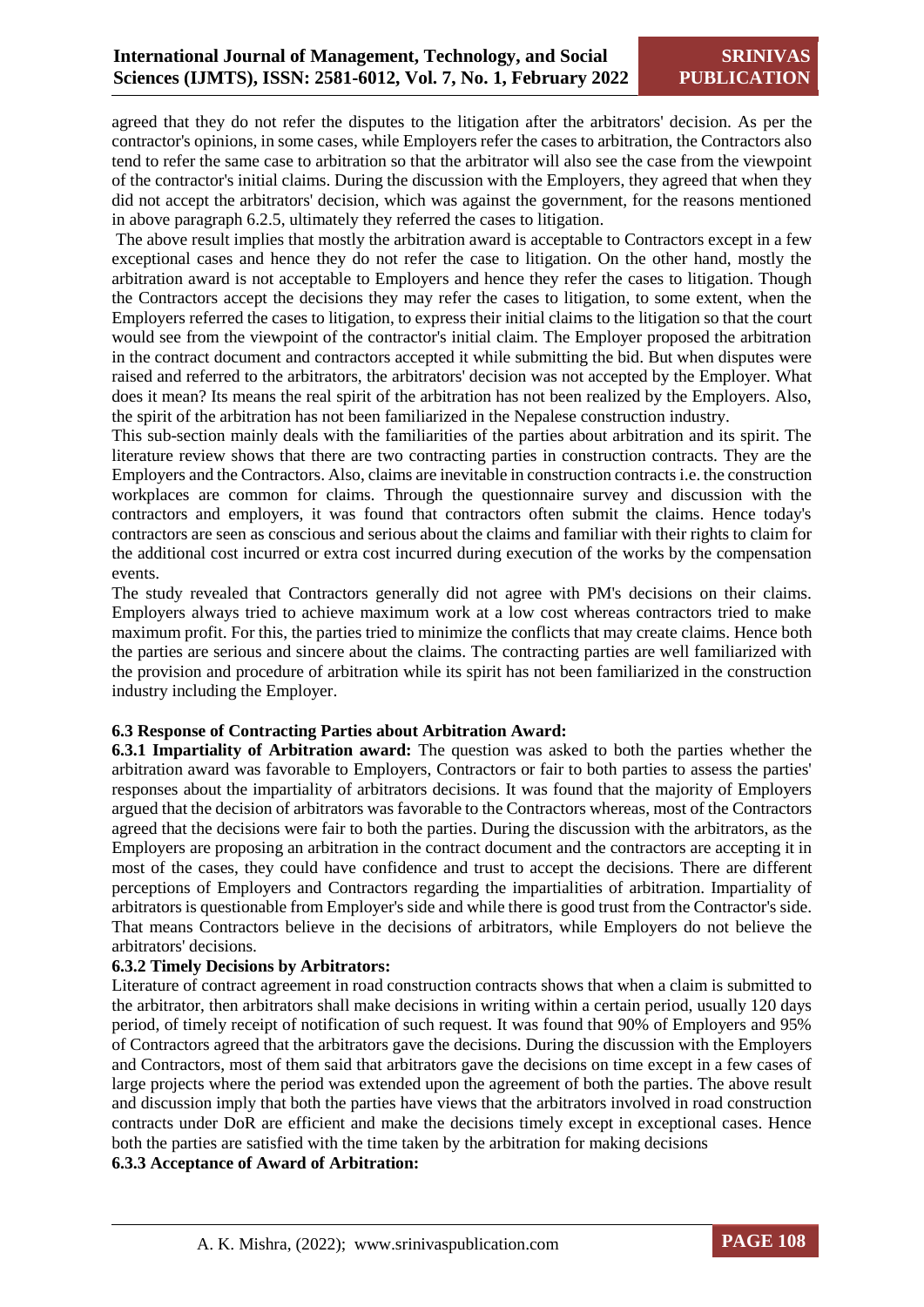agreed that they do not refer the disputes to the litigation after the arbitrators' decision. As per the contractor's opinions, in some cases, while Employers refer the cases to arbitration, the Contractors also tend to refer the same case to arbitration so that the arbitrator will also see the case from the viewpoint of the contractor's initial claims. During the discussion with the Employers, they agreed that when they did not accept the arbitrators' decision, which was against the government, for the reasons mentioned in above paragraph 6.2.5, ultimately they referred the cases to litigation.

The above result implies that mostly the arbitration award is acceptable to Contractors except in a few exceptional cases and hence they do not refer the case to litigation. On the other hand, mostly the arbitration award is not acceptable to Employers and hence they refer the cases to litigation. Though the Contractors accept the decisions they may refer the cases to litigation, to some extent, when the Employers referred the cases to litigation, to express their initial claims to the litigation so that the court would see from the viewpoint of the contractor's initial claim. The Employer proposed the arbitration in the contract document and contractors accepted it while submitting the bid. But when disputes were raised and referred to the arbitrators, the arbitrators' decision was not accepted by the Employer. What does it mean? Its means the real spirit of the arbitration has not been realized by the Employers. Also, the spirit of the arbitration has not been familiarized in the Nepalese construction industry.

This sub-section mainly deals with the familiarities of the parties about arbitration and its spirit. The literature review shows that there are two contracting parties in construction contracts. They are the Employers and the Contractors. Also, claims are inevitable in construction contracts i.e. the construction workplaces are common for claims. Through the questionnaire survey and discussion with the contractors and employers, it was found that contractors often submit the claims. Hence today's contractors are seen as conscious and serious about the claims and familiar with their rights to claim for the additional cost incurred or extra cost incurred during execution of the works by the compensation events.

The study revealed that Contractors generally did not agree with PM's decisions on their claims. Employers always tried to achieve maximum work at a low cost whereas contractors tried to make maximum profit. For this, the parties tried to minimize the conflicts that may create claims. Hence both the parties are serious and sincere about the claims. The contracting parties are well familiarized with the provision and procedure of arbitration while its spirit has not been familiarized in the construction industry including the Employer.

## **6.3 Response of Contracting Parties about Arbitration Award:**

**6.3.1 Impartiality of Arbitration award:** The question was asked to both the parties whether the arbitration award was favorable to Employers, Contractors or fair to both parties to assess the parties' responses about the impartiality of arbitrators decisions. It was found that the majority of Employers argued that the decision of arbitrators was favorable to the Contractors whereas, most of the Contractors agreed that the decisions were fair to both the parties. During the discussion with the arbitrators, as the Employers are proposing an arbitration in the contract document and the contractors are accepting it in most of the cases, they could have confidence and trust to accept the decisions. There are different perceptions of Employers and Contractors regarding the impartialities of arbitration. Impartiality of arbitrators is questionable from Employer's side and while there is good trust from the Contractor's side. That means Contractors believe in the decisions of arbitrators, while Employers do not believe the arbitrators' decisions.

## **6.3.2 Timely Decisions by Arbitrators:**

Literature of contract agreement in road construction contracts shows that when a claim is submitted to the arbitrator, then arbitrators shall make decisions in writing within a certain period, usually 120 days period, of timely receipt of notification of such request. It was found that 90% of Employers and 95% of Contractors agreed that the arbitrators gave the decisions. During the discussion with the Employers and Contractors, most of them said that arbitrators gave the decisions on time except in a few cases of large projects where the period was extended upon the agreement of both the parties. The above result and discussion imply that both the parties have views that the arbitrators involved in road construction contracts under DoR are efficient and make the decisions timely except in exceptional cases. Hence both the parties are satisfied with the time taken by the arbitration for making decisions

## **6.3.3 Acceptance of Award of Arbitration:**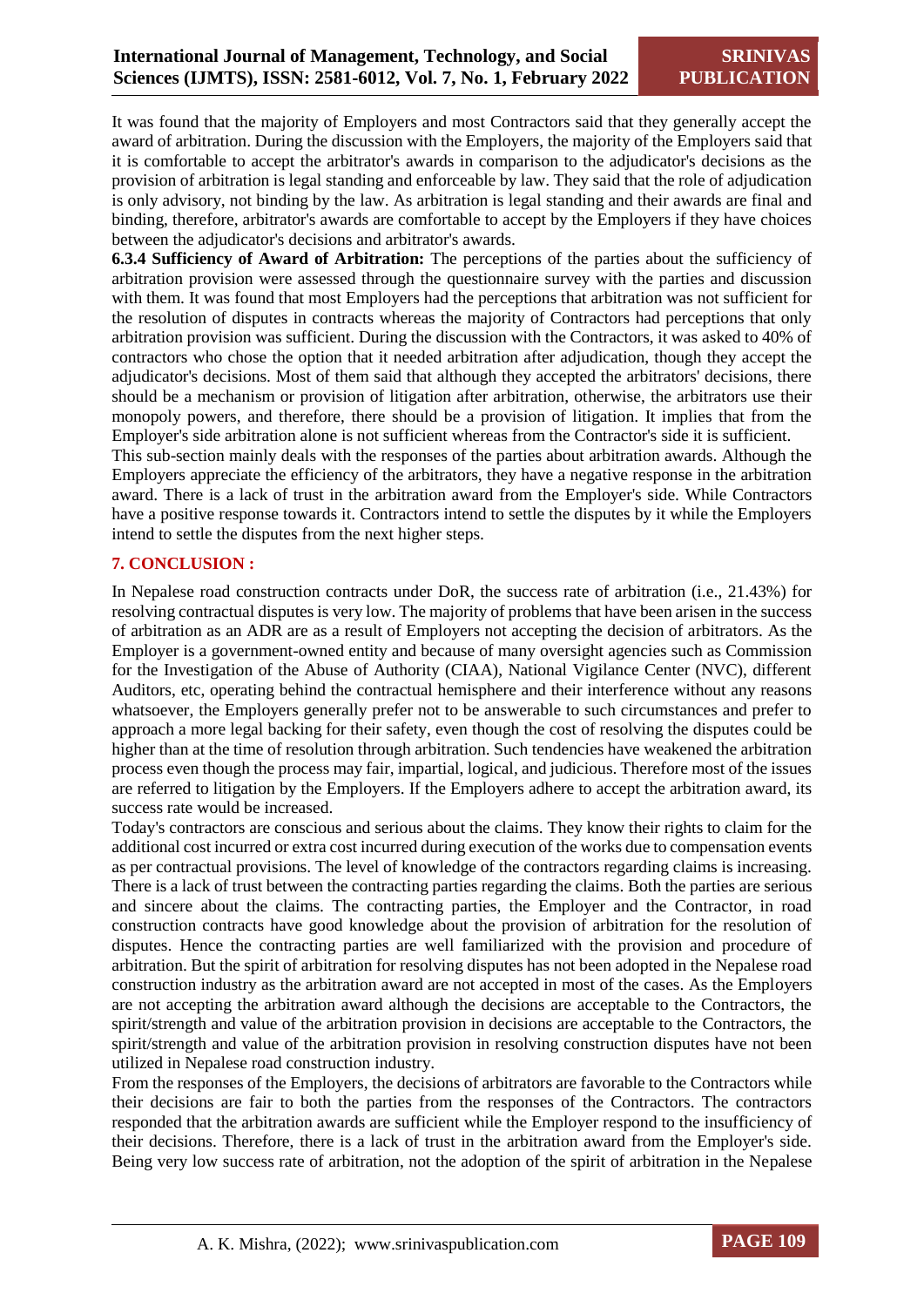It was found that the majority of Employers and most Contractors said that they generally accept the award of arbitration. During the discussion with the Employers, the majority of the Employers said that it is comfortable to accept the arbitrator's awards in comparison to the adjudicator's decisions as the provision of arbitration is legal standing and enforceable by law. They said that the role of adjudication is only advisory, not binding by the law. As arbitration is legal standing and their awards are final and binding, therefore, arbitrator's awards are comfortable to accept by the Employers if they have choices between the adjudicator's decisions and arbitrator's awards.

**6.3.4 Sufficiency of Award of Arbitration:** The perceptions of the parties about the sufficiency of arbitration provision were assessed through the questionnaire survey with the parties and discussion with them. It was found that most Employers had the perceptions that arbitration was not sufficient for the resolution of disputes in contracts whereas the majority of Contractors had perceptions that only arbitration provision was sufficient. During the discussion with the Contractors, it was asked to 40% of contractors who chose the option that it needed arbitration after adjudication, though they accept the adjudicator's decisions. Most of them said that although they accepted the arbitrators' decisions, there should be a mechanism or provision of litigation after arbitration, otherwise, the arbitrators use their monopoly powers, and therefore, there should be a provision of litigation. It implies that from the Employer's side arbitration alone is not sufficient whereas from the Contractor's side it is sufficient.

This sub-section mainly deals with the responses of the parties about arbitration awards. Although the Employers appreciate the efficiency of the arbitrators, they have a negative response in the arbitration award. There is a lack of trust in the arbitration award from the Employer's side. While Contractors have a positive response towards it. Contractors intend to settle the disputes by it while the Employers intend to settle the disputes from the next higher steps.

## **7. CONCLUSION :**

In Nepalese road construction contracts under DoR, the success rate of arbitration (i.e., 21.43%) for resolving contractual disputes is very low. The majority of problems that have been arisen in the success of arbitration as an ADR are as a result of Employers not accepting the decision of arbitrators. As the Employer is a government-owned entity and because of many oversight agencies such as Commission for the Investigation of the Abuse of Authority (CIAA), National Vigilance Center (NVC), different Auditors, etc, operating behind the contractual hemisphere and their interference without any reasons whatsoever, the Employers generally prefer not to be answerable to such circumstances and prefer to approach a more legal backing for their safety, even though the cost of resolving the disputes could be higher than at the time of resolution through arbitration. Such tendencies have weakened the arbitration process even though the process may fair, impartial, logical, and judicious. Therefore most of the issues are referred to litigation by the Employers. If the Employers adhere to accept the arbitration award, its success rate would be increased.

Today's contractors are conscious and serious about the claims. They know their rights to claim for the additional cost incurred or extra cost incurred during execution of the works due to compensation events as per contractual provisions. The level of knowledge of the contractors regarding claims is increasing. There is a lack of trust between the contracting parties regarding the claims. Both the parties are serious and sincere about the claims. The contracting parties, the Employer and the Contractor, in road construction contracts have good knowledge about the provision of arbitration for the resolution of disputes. Hence the contracting parties are well familiarized with the provision and procedure of arbitration. But the spirit of arbitration for resolving disputes has not been adopted in the Nepalese road construction industry as the arbitration award are not accepted in most of the cases. As the Employers are not accepting the arbitration award although the decisions are acceptable to the Contractors, the spirit/strength and value of the arbitration provision in decisions are acceptable to the Contractors, the spirit/strength and value of the arbitration provision in resolving construction disputes have not been utilized in Nepalese road construction industry.

From the responses of the Employers, the decisions of arbitrators are favorable to the Contractors while their decisions are fair to both the parties from the responses of the Contractors. The contractors responded that the arbitration awards are sufficient while the Employer respond to the insufficiency of their decisions. Therefore, there is a lack of trust in the arbitration award from the Employer's side. Being very low success rate of arbitration, not the adoption of the spirit of arbitration in the Nepalese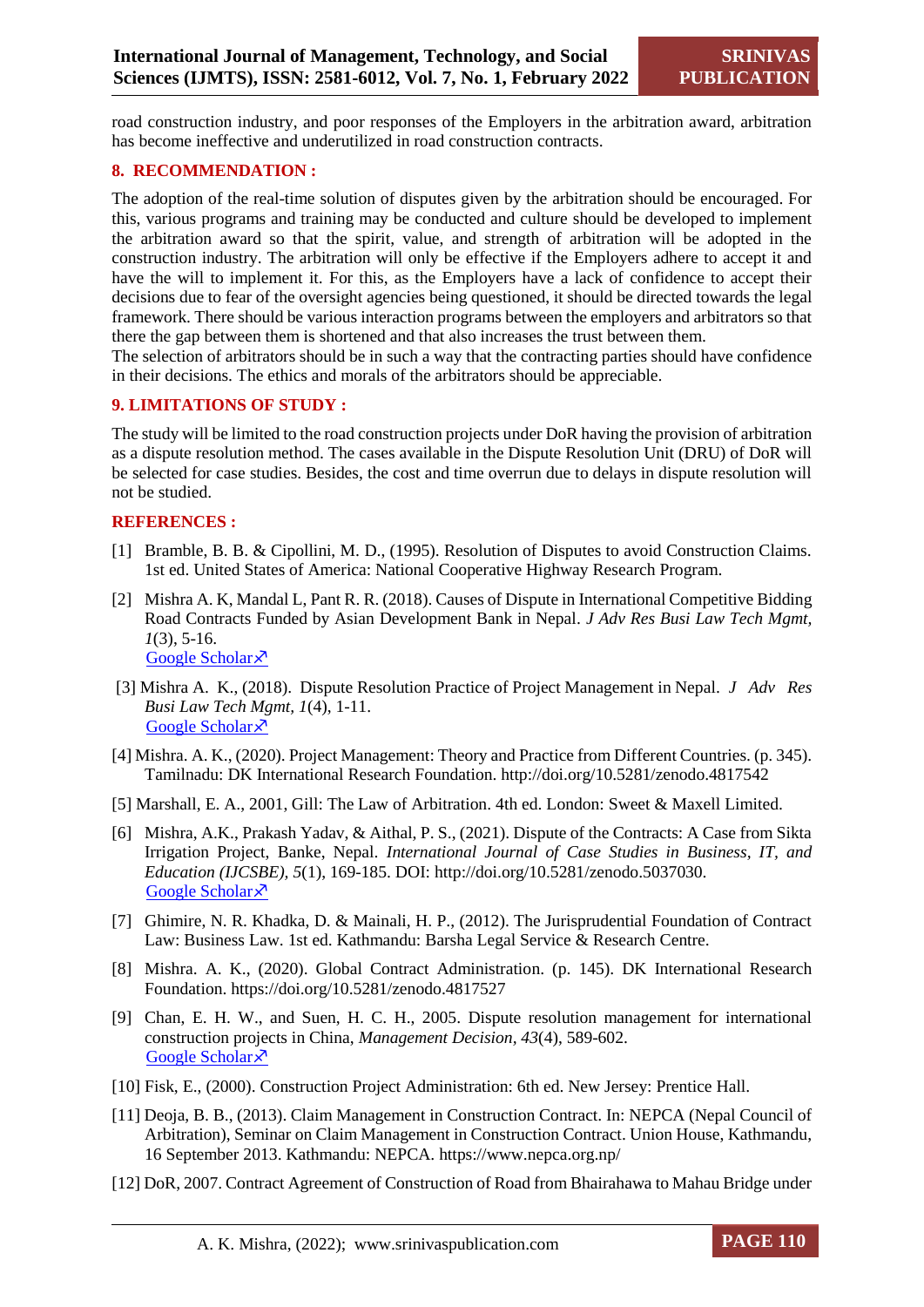road construction industry, and poor responses of the Employers in the arbitration award, arbitration has become ineffective and underutilized in road construction contracts.

## **8. RECOMMENDATION :**

The adoption of the real-time solution of disputes given by the arbitration should be encouraged. For this, various programs and training may be conducted and culture should be developed to implement the arbitration award so that the spirit, value, and strength of arbitration will be adopted in the construction industry. The arbitration will only be effective if the Employers adhere to accept it and have the will to implement it. For this, as the Employers have a lack of confidence to accept their decisions due to fear of the oversight agencies being questioned, it should be directed towards the legal framework. There should be various interaction programs between the employers and arbitrators so that there the gap between them is shortened and that also increases the trust between them.

The selection of arbitrators should be in such a way that the contracting parties should have confidence in their decisions. The ethics and morals of the arbitrators should be appreciable.

## **9. LIMITATIONS OF STUDY :**

The study will be limited to the road construction projects under DoR having the provision of arbitration as a dispute resolution method. The cases available in the Dispute Resolution Unit (DRU) of DoR will be selected for case studies. Besides, the cost and time overrun due to delays in dispute resolution will not be studied.

## **REFERENCES :**

- [1] Bramble, B. B. & Cipollini, M. D., (1995). Resolution of Disputes to avoid Construction Claims. 1st ed. United States of America: National Cooperative Highway Research Program.
- [2] Mishra A. K, Mandal L, Pant R. R. (2018). Causes of Dispute in International Competitive Bidding Road Contracts Funded by Asian Development Bank in Nepal. *J Adv Res Busi Law Tech Mgmt, 1*(3), 5-16. [Google Scholar](https://www.researchgate.net/profile/Anjay-Mishra/publication/328047727_Causes_of_Dispute_in_International_Competitive_Bidding_Road_Contracts_Funded_by_Asian_Development_Bank_in_Nepal_AsstProfessor_at_Shanker_Dev_Campus/links/5bb4b49345851574f7f7c036/Causes-of-Dispute-in-International-Competitive-Bidding-Road-Contracts-Funded-by-Asian-Development-Bank-in-Nepal-AsstProfessor-at-Shanker-Dev-Campus.pdf) ×
- [3] Mishra A. K., (2018). Dispute Resolution Practice of Project Management in Nepal. *J Adv Res Busi Law Tech Mgmt, 1*(4), 1-11. [Google Scholar](https://www.researchgate.net/profile/Anjay-Mishra/publication/330142366_Dispute_Resolution_Practice_of_Project_Management_in_Nepal/links/5c2f7cc8a6fdccd6b590e123/Dispute-Resolution-Practice-of-Project-Management-in-Nepal.pdf) ×
- [4] Mishra. A. K., (2020). Project Management: Theory and Practice from Different Countries. (p. 345). Tamilnadu: DK International Research Foundation. http://doi.org/10.5281/zenodo.4817542
- [5] Marshall, E. A., 2001, Gill: The Law of Arbitration. 4th ed. London: Sweet & Maxell Limited.
- [6] Mishra, A.K., Prakash Yadav, & Aithal, P. S., (2021). Dispute of the Contracts: A Case from Sikta Irrigation Project, Banke, Nepal. *International Journal of Case Studies in Business, IT, and Education (IJCSBE), 5*(1), 169-185. DOI: http://doi.org/10.5281/zenodo.5037030. [Google Scholar](https://scholar.archive.org/work/siojxcf4rranbdapqr6ysbtlqu/access/wayback/https:/srinivaspublication.com/wp-content/uploads/2021/06/13.-Project-Failure_Fullpaper.pdf) ×
- [7] Ghimire, N. R. Khadka, D. & Mainali, H. P., (2012). The Jurisprudential Foundation of Contract Law: Business Law. 1st ed. Kathmandu: Barsha Legal Service & Research Centre.
- [8] Mishra. A. K., (2020). Global Contract Administration. (p. 145). DK International Research Foundation. https://doi.org/10.5281/zenodo.4817527
- [9] Chan, E. H. W., and Suen, H. C. H., 2005. Dispute resolution management for international construction projects in China, *Management Decision, 43*(4), 589-602. [Google Scholar](https://www.emerald.com/insight/content/doi/10.1108/00251740510593576/full/html) ×
- [10] Fisk, E., (2000). Construction Project Administration: 6th ed. New Jersey: Prentice Hall.
- [11] Deoja, B. B., (2013). Claim Management in Construction Contract. In: NEPCA (Nepal Council of Arbitration), Seminar on Claim Management in Construction Contract. Union House, Kathmandu, 16 September 2013. Kathmandu: NEPCA. https://www.nepca.org.np/
- [12] DoR, 2007. Contract Agreement of Construction of Road from Bhairahawa to Mahau Bridge under